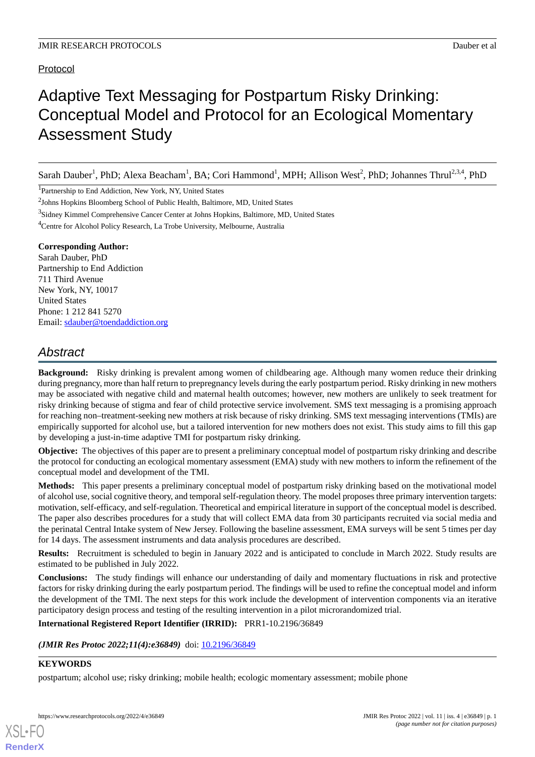# Protocol

# Adaptive Text Messaging for Postpartum Risky Drinking: Conceptual Model and Protocol for an Ecological Momentary Assessment Study

Sarah Dauber<sup>1</sup>, PhD; Alexa Beacham<sup>1</sup>, BA; Cori Hammond<sup>1</sup>, MPH; Allison West<sup>2</sup>, PhD; Johannes Thrul<sup>2,3,4</sup>, PhD

<sup>1</sup>Partnership to End Addiction, New York, NY, United States

#### **Corresponding Author:**

Sarah Dauber, PhD Partnership to End Addiction 711 Third Avenue New York, NY, 10017 United States Phone: 1 212 841 5270 Email: [sdauber@toendaddiction.org](mailto:sdauber@toendaddiction.org)

# *Abstract*

**Background:** Risky drinking is prevalent among women of childbearing age. Although many women reduce their drinking during pregnancy, more than half return to prepregnancy levels during the early postpartum period. Risky drinking in new mothers may be associated with negative child and maternal health outcomes; however, new mothers are unlikely to seek treatment for risky drinking because of stigma and fear of child protective service involvement. SMS text messaging is a promising approach for reaching non–treatment-seeking new mothers at risk because of risky drinking. SMS text messaging interventions (TMIs) are empirically supported for alcohol use, but a tailored intervention for new mothers does not exist. This study aims to fill this gap by developing a just-in-time adaptive TMI for postpartum risky drinking.

**Objective:** The objectives of this paper are to present a preliminary conceptual model of postpartum risky drinking and describe the protocol for conducting an ecological momentary assessment (EMA) study with new mothers to inform the refinement of the conceptual model and development of the TMI.

**Methods:** This paper presents a preliminary conceptual model of postpartum risky drinking based on the motivational model of alcohol use, social cognitive theory, and temporal self-regulation theory. The model proposes three primary intervention targets: motivation, self-efficacy, and self-regulation. Theoretical and empirical literature in support of the conceptual model is described. The paper also describes procedures for a study that will collect EMA data from 30 participants recruited via social media and the perinatal Central Intake system of New Jersey. Following the baseline assessment, EMA surveys will be sent 5 times per day for 14 days. The assessment instruments and data analysis procedures are described.

**Results:** Recruitment is scheduled to begin in January 2022 and is anticipated to conclude in March 2022. Study results are estimated to be published in July 2022.

**Conclusions:** The study findings will enhance our understanding of daily and momentary fluctuations in risk and protective factors for risky drinking during the early postpartum period. The findings will be used to refine the conceptual model and inform the development of the TMI. The next steps for this work include the development of intervention components via an iterative participatory design process and testing of the resulting intervention in a pilot microrandomized trial.

#### **International Registered Report Identifier (IRRID):** PRR1-10.2196/36849

*(JMIR Res Protoc 2022;11(4):e36849)* doi: [10.2196/36849](http://dx.doi.org/10.2196/36849)

# **KEYWORDS**

[XSL](http://www.w3.org/Style/XSL)•FO **[RenderX](http://www.renderx.com/)**

postpartum; alcohol use; risky drinking; mobile health; ecologic momentary assessment; mobile phone

<sup>&</sup>lt;sup>2</sup>Johns Hopkins Bloomberg School of Public Health, Baltimore, MD, United States

<sup>&</sup>lt;sup>3</sup>Sidney Kimmel Comprehensive Cancer Center at Johns Hopkins, Baltimore, MD, United States

<sup>&</sup>lt;sup>4</sup>Centre for Alcohol Policy Research, La Trobe University, Melbourne, Australia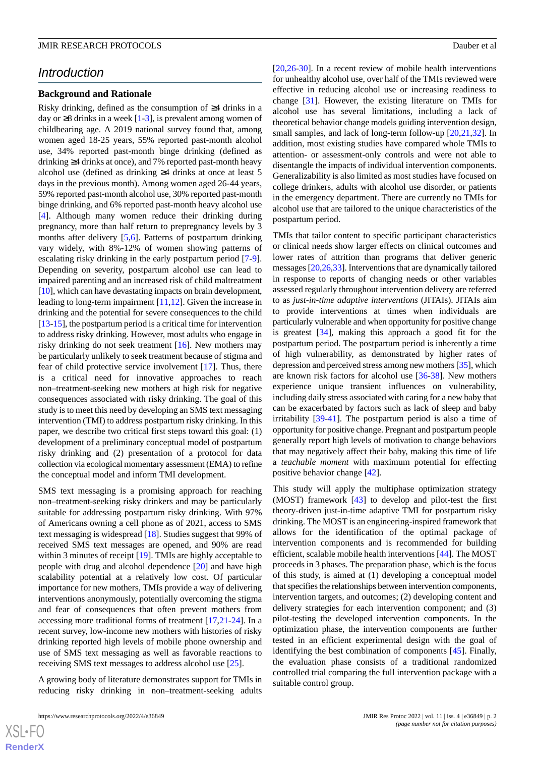# *Introduction*

#### **Background and Rationale**

Risky drinking, defined as the consumption of ≥4 drinks in a day or  $\geq$ 8 drinks in a week [\[1](#page-11-0)[-3](#page-11-1)], is prevalent among women of childbearing age. A 2019 national survey found that, among women aged 18-25 years, 55% reported past-month alcohol use, 34% reported past-month binge drinking (defined as drinking ≥4 drinks at once), and 7% reported past-month heavy alcohol use (defined as drinking ≥4 drinks at once at least 5 days in the previous month). Among women aged 26-44 years, 59% reported past-month alcohol use, 30% reported past-month binge drinking, and 6% reported past-month heavy alcohol use [[4\]](#page-11-2). Although many women reduce their drinking during pregnancy, more than half return to prepregnancy levels by 3 months after delivery [\[5](#page-11-3),[6](#page-11-4)]. Patterns of postpartum drinking vary widely, with 8%-12% of women showing patterns of escalating risky drinking in the early postpartum period [\[7-](#page-11-5)[9\]](#page-11-6). Depending on severity, postpartum alcohol use can lead to impaired parenting and an increased risk of child maltreatment [[10\]](#page-11-7), which can have devastating impacts on brain development, leading to long-term impairment [[11,](#page-11-8)[12](#page-11-9)]. Given the increase in drinking and the potential for severe consequences to the child [[13](#page-11-10)[-15](#page-11-11)], the postpartum period is a critical time for intervention to address risky drinking. However, most adults who engage in risky drinking do not seek treatment [[16\]](#page-11-12). New mothers may be particularly unlikely to seek treatment because of stigma and fear of child protective service involvement [[17\]](#page-12-0). Thus, there is a critical need for innovative approaches to reach non–treatment-seeking new mothers at high risk for negative consequences associated with risky drinking. The goal of this study is to meet this need by developing an SMS text messaging intervention (TMI) to address postpartum risky drinking. In this paper, we describe two critical first steps toward this goal: (1) development of a preliminary conceptual model of postpartum risky drinking and (2) presentation of a protocol for data collection via ecological momentary assessment (EMA) to refine the conceptual model and inform TMI development.

SMS text messaging is a promising approach for reaching non–treatment-seeking risky drinkers and may be particularly suitable for addressing postpartum risky drinking. With 97% of Americans owning a cell phone as of 2021, access to SMS text messaging is widespread [[18\]](#page-12-1). Studies suggest that 99% of received SMS text messages are opened, and 90% are read within 3 minutes of receipt [[19\]](#page-12-2). TMIs are highly acceptable to people with drug and alcohol dependence [\[20](#page-12-3)] and have high scalability potential at a relatively low cost. Of particular importance for new mothers, TMIs provide a way of delivering interventions anonymously, potentially overcoming the stigma and fear of consequences that often prevent mothers from accessing more traditional forms of treatment [[17,](#page-12-0)[21](#page-12-4)-[24\]](#page-12-5). In a recent survey, low-income new mothers with histories of risky drinking reported high levels of mobile phone ownership and use of SMS text messaging as well as favorable reactions to receiving SMS text messages to address alcohol use [[25\]](#page-12-6).

A growing body of literature demonstrates support for TMIs in reducing risky drinking in non–treatment-seeking adults [[20,](#page-12-3)[26-](#page-12-7)[30\]](#page-12-8). In a recent review of mobile health interventions for unhealthy alcohol use, over half of the TMIs reviewed were effective in reducing alcohol use or increasing readiness to change [\[31](#page-12-9)]. However, the existing literature on TMIs for alcohol use has several limitations, including a lack of theoretical behavior change models guiding intervention design, small samples, and lack of long-term follow-up [[20](#page-12-3)[,21](#page-12-4),[32\]](#page-12-10). In addition, most existing studies have compared whole TMIs to attention- or assessment-only controls and were not able to disentangle the impacts of individual intervention components. Generalizability is also limited as most studies have focused on college drinkers, adults with alcohol use disorder, or patients in the emergency department. There are currently no TMIs for alcohol use that are tailored to the unique characteristics of the postpartum period.

TMIs that tailor content to specific participant characteristics or clinical needs show larger effects on clinical outcomes and lower rates of attrition than programs that deliver generic messages [\[20](#page-12-3)[,26](#page-12-7),[33](#page-12-11)]. Interventions that are dynamically tailored in response to reports of changing needs or other variables assessed regularly throughout intervention delivery are referred to as *just-in-time adaptive interventions* (JITAIs). JITAIs aim to provide interventions at times when individuals are particularly vulnerable and when opportunity for positive change is greatest [[34\]](#page-12-12), making this approach a good fit for the postpartum period. The postpartum period is inherently a time of high vulnerability, as demonstrated by higher rates of depression and perceived stress among new mothers [\[35\]](#page-12-13), which are known risk factors for alcohol use [\[36](#page-12-14)[-38](#page-12-15)]. New mothers experience unique transient influences on vulnerability, including daily stress associated with caring for a new baby that can be exacerbated by factors such as lack of sleep and baby irritability [[39-](#page-12-16)[41\]](#page-13-0). The postpartum period is also a time of opportunity for positive change. Pregnant and postpartum people generally report high levels of motivation to change behaviors that may negatively affect their baby, making this time of life a *teachable moment* with maximum potential for effecting positive behavior change [[42\]](#page-13-1).

This study will apply the multiphase optimization strategy (MOST) framework [\[43](#page-13-2)] to develop and pilot-test the first theory-driven just-in-time adaptive TMI for postpartum risky drinking. The MOST is an engineering-inspired framework that allows for the identification of the optimal package of intervention components and is recommended for building efficient, scalable mobile health interventions [\[44](#page-13-3)]. The MOST proceeds in 3 phases. The preparation phase, which is the focus of this study, is aimed at (1) developing a conceptual model that specifies the relationships between intervention components, intervention targets, and outcomes; (2) developing content and delivery strategies for each intervention component; and (3) pilot-testing the developed intervention components. In the optimization phase, the intervention components are further tested in an efficient experimental design with the goal of identifying the best combination of components [[45\]](#page-13-4). Finally, the evaluation phase consists of a traditional randomized controlled trial comparing the full intervention package with a suitable control group.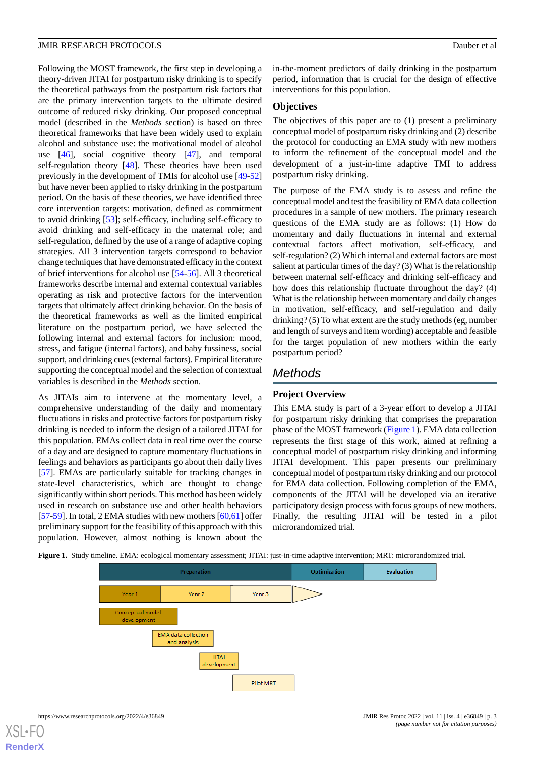Following the MOST framework, the first step in developing a theory-driven JITAI for postpartum risky drinking is to specify the theoretical pathways from the postpartum risk factors that are the primary intervention targets to the ultimate desired outcome of reduced risky drinking. Our proposed conceptual model (described in the *Methods* section) is based on three theoretical frameworks that have been widely used to explain alcohol and substance use: the motivational model of alcohol use [\[46](#page-13-5)], social cognitive theory [\[47](#page-13-6)], and temporal self-regulation theory [[48\]](#page-13-7). These theories have been used previously in the development of TMIs for alcohol use [[49](#page-13-8)[-52](#page-13-9)] but have never been applied to risky drinking in the postpartum period. On the basis of these theories, we have identified three core intervention targets: motivation, defined as commitment to avoid drinking [[53\]](#page-13-10); self-efficacy, including self-efficacy to avoid drinking and self-efficacy in the maternal role; and self-regulation, defined by the use of a range of adaptive coping strategies. All 3 intervention targets correspond to behavior change techniques that have demonstrated efficacy in the context of brief interventions for alcohol use [[54](#page-13-11)[-56](#page-13-12)]. All 3 theoretical frameworks describe internal and external contextual variables operating as risk and protective factors for the intervention targets that ultimately affect drinking behavior. On the basis of the theoretical frameworks as well as the limited empirical literature on the postpartum period, we have selected the following internal and external factors for inclusion: mood, stress, and fatigue (internal factors), and baby fussiness, social support, and drinking cues (external factors). Empirical literature supporting the conceptual model and the selection of contextual variables is described in the *Methods* section.

As JITAIs aim to intervene at the momentary level, a comprehensive understanding of the daily and momentary fluctuations in risks and protective factors for postpartum risky drinking is needed to inform the design of a tailored JITAI for this population. EMAs collect data in real time over the course of a day and are designed to capture momentary fluctuations in feelings and behaviors as participants go about their daily lives [[57\]](#page-13-13). EMAs are particularly suitable for tracking changes in state-level characteristics, which are thought to change significantly within short periods. This method has been widely used in research on substance use and other health behaviors [[57-](#page-13-13)[59](#page-13-14)]. In total, 2 EMA studies with new mothers [[60](#page-13-15)[,61](#page-13-16)] offer preliminary support for the feasibility of this approach with this population. However, almost nothing is known about the

in-the-moment predictors of daily drinking in the postpartum period, information that is crucial for the design of effective interventions for this population.

#### **Objectives**

The objectives of this paper are to (1) present a preliminary conceptual model of postpartum risky drinking and (2) describe the protocol for conducting an EMA study with new mothers to inform the refinement of the conceptual model and the development of a just-in-time adaptive TMI to address postpartum risky drinking.

The purpose of the EMA study is to assess and refine the conceptual model and test the feasibility of EMA data collection procedures in a sample of new mothers. The primary research questions of the EMA study are as follows: (1) How do momentary and daily fluctuations in internal and external contextual factors affect motivation, self-efficacy, and self-regulation? (2) Which internal and external factors are most salient at particular times of the day? (3) What is the relationship between maternal self-efficacy and drinking self-efficacy and how does this relationship fluctuate throughout the day? (4) What is the relationship between momentary and daily changes in motivation, self-efficacy, and self-regulation and daily drinking? (5) To what extent are the study methods (eg, number and length of surveys and item wording) acceptable and feasible for the target population of new mothers within the early postpartum period?

# *Methods*

# **Project Overview**

This EMA study is part of a 3-year effort to develop a JITAI for postpartum risky drinking that comprises the preparation phase of the MOST framework [\(Figure 1](#page-2-0)). EMA data collection represents the first stage of this work, aimed at refining a conceptual model of postpartum risky drinking and informing JITAI development. This paper presents our preliminary conceptual model of postpartum risky drinking and our protocol for EMA data collection. Following completion of the EMA, components of the JITAI will be developed via an iterative participatory design process with focus groups of new mothers. Finally, the resulting JITAI will be tested in a pilot microrandomized trial.

<span id="page-2-0"></span>**Figure 1.** Study timeline. EMA: ecological momentary assessment; JITAI: just-in-time adaptive intervention; MRT: microrandomized trial.

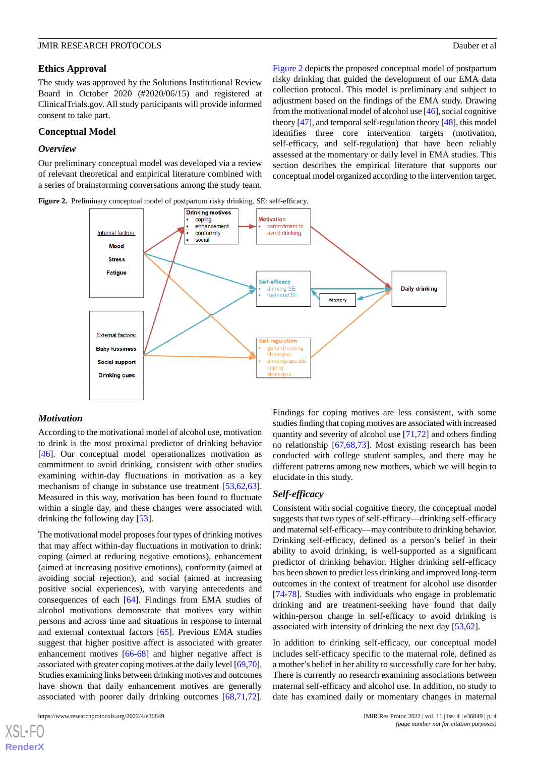#### **Ethics Approval**

The study was approved by the Solutions Institutional Review Board in October 2020 (#2020/06/15) and registered at ClinicalTrials.gov. All study participants will provide informed consent to take part.

## **Conceptual Model**

#### *Overview*

<span id="page-3-0"></span>Our preliminary conceptual model was developed via a review of relevant theoretical and empirical literature combined with a series of brainstorming conversations among the study team.

[Figure 2](#page-3-0) depicts the proposed conceptual model of postpartum risky drinking that guided the development of our EMA data collection protocol. This model is preliminary and subject to adjustment based on the findings of the EMA study. Drawing from the motivational model of alcohol use [[46](#page-13-5)], social cognitive theory [\[47\]](#page-13-6), and temporal self-regulation theory [\[48](#page-13-7)], this model identifies three core intervention targets (motivation, self-efficacy, and self-regulation) that have been reliably assessed at the momentary or daily level in EMA studies. This section describes the empirical literature that supports our conceptual model organized according to the intervention target.





#### *Motivation*

According to the motivational model of alcohol use, motivation to drink is the most proximal predictor of drinking behavior [[46\]](#page-13-5). Our conceptual model operationalizes motivation as commitment to avoid drinking, consistent with other studies examining within-day fluctuations in motivation as a key mechanism of change in substance use treatment [[53](#page-13-10)[,62](#page-14-0),[63\]](#page-14-1). Measured in this way, motivation has been found to fluctuate within a single day, and these changes were associated with drinking the following day [\[53](#page-13-10)].

The motivational model proposes four types of drinking motives that may affect within-day fluctuations in motivation to drink: coping (aimed at reducing negative emotions), enhancement (aimed at increasing positive emotions), conformity (aimed at avoiding social rejection), and social (aimed at increasing positive social experiences), with varying antecedents and consequences of each [[64\]](#page-14-2). Findings from EMA studies of alcohol motivations demonstrate that motives vary within persons and across time and situations in response to internal and external contextual factors [\[65](#page-14-3)]. Previous EMA studies suggest that higher positive affect is associated with greater enhancement motives [\[66](#page-14-4)[-68](#page-14-5)] and higher negative affect is associated with greater coping motives at the daily level [[69,](#page-14-6)[70\]](#page-14-7). Studies examining links between drinking motives and outcomes have shown that daily enhancement motives are generally associated with poorer daily drinking outcomes [[68](#page-14-5)[,71](#page-14-8),[72\]](#page-14-9).

 $X$ SL•FO **[RenderX](http://www.renderx.com/)** Findings for coping motives are less consistent, with some studies finding that coping motives are associated with increased quantity and severity of alcohol use [[71](#page-14-8)[,72](#page-14-9)] and others finding no relationship [[67](#page-14-10)[,68](#page-14-5),[73\]](#page-14-11). Most existing research has been conducted with college student samples, and there may be different patterns among new mothers, which we will begin to elucidate in this study.

#### *Self-efficacy*

Consistent with social cognitive theory, the conceptual model suggests that two types of self-efficacy—drinking self-efficacy and maternal self-efficacy—may contribute to drinking behavior. Drinking self-efficacy, defined as a person's belief in their ability to avoid drinking, is well-supported as a significant predictor of drinking behavior. Higher drinking self-efficacy has been shown to predict less drinking and improved long-term outcomes in the context of treatment for alcohol use disorder [[74](#page-14-12)[-78](#page-14-13)]. Studies with individuals who engage in problematic drinking and are treatment-seeking have found that daily within-person change in self-efficacy to avoid drinking is associated with intensity of drinking the next day [\[53](#page-13-10),[62\]](#page-14-0).

In addition to drinking self-efficacy, our conceptual model includes self-efficacy specific to the maternal role, defined as a mother's belief in her ability to successfully care for her baby. There is currently no research examining associations between maternal self-efficacy and alcohol use. In addition, no study to date has examined daily or momentary changes in maternal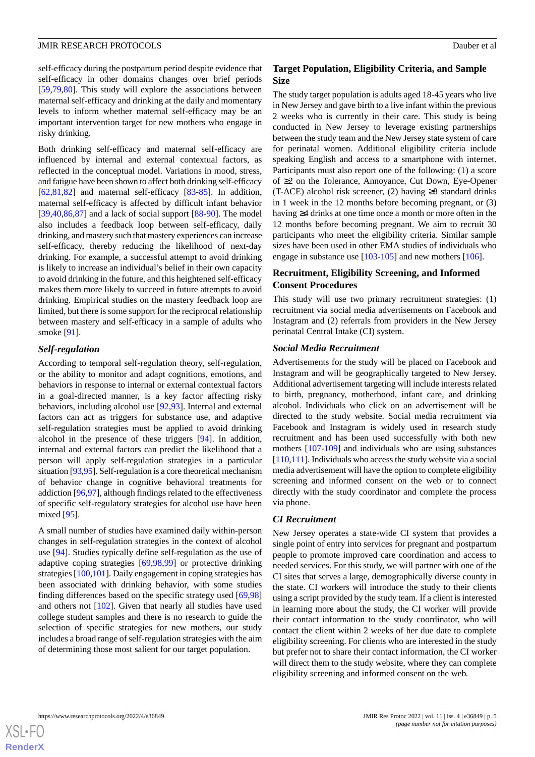self-efficacy during the postpartum period despite evidence that self-efficacy in other domains changes over brief periods [[59](#page-13-14)[,79](#page-14-14),[80\]](#page-14-15). This study will explore the associations between maternal self-efficacy and drinking at the daily and momentary levels to inform whether maternal self-efficacy may be an important intervention target for new mothers who engage in risky drinking.

Both drinking self-efficacy and maternal self-efficacy are influenced by internal and external contextual factors, as reflected in the conceptual model. Variations in mood, stress, and fatigue have been shown to affect both drinking self-efficacy [[62](#page-14-0)[,81](#page-14-16),[82\]](#page-14-17) and maternal self-efficacy [\[83](#page-14-18)[-85](#page-15-0)]. In addition, maternal self-efficacy is affected by difficult infant behavior  $[39,40,86,87]$  $[39,40,86,87]$  $[39,40,86,87]$  $[39,40,86,87]$  $[39,40,86,87]$  $[39,40,86,87]$  $[39,40,86,87]$  and a lack of social support  $[88-90]$  $[88-90]$  $[88-90]$ . The model also includes a feedback loop between self-efficacy, daily drinking, and mastery such that mastery experiences can increase self-efficacy, thereby reducing the likelihood of next-day drinking. For example, a successful attempt to avoid drinking is likely to increase an individual's belief in their own capacity to avoid drinking in the future, and this heightened self-efficacy makes them more likely to succeed in future attempts to avoid drinking. Empirical studies on the mastery feedback loop are limited, but there is some support for the reciprocal relationship between mastery and self-efficacy in a sample of adults who smoke [\[91](#page-15-5)].

#### *Self-regulation*

According to temporal self-regulation theory, self-regulation, or the ability to monitor and adapt cognitions, emotions, and behaviors in response to internal or external contextual factors in a goal-directed manner, is a key factor affecting risky behaviors, including alcohol use [[92](#page-15-6)[,93](#page-15-7)]. Internal and external factors can act as triggers for substance use, and adaptive self-regulation strategies must be applied to avoid drinking alcohol in the presence of these triggers [[94\]](#page-15-8). In addition, internal and external factors can predict the likelihood that a person will apply self-regulation strategies in a particular situation [\[93](#page-15-7)[,95](#page-15-9)]. Self-regulation is a core theoretical mechanism of behavior change in cognitive behavioral treatments for addiction [\[96](#page-15-10),[97\]](#page-15-11), although findings related to the effectiveness of specific self-regulatory strategies for alcohol use have been mixed [\[95](#page-15-9)].

A small number of studies have examined daily within-person changes in self-regulation strategies in the context of alcohol use [\[94](#page-15-8)]. Studies typically define self-regulation as the use of adaptive coping strategies [[69](#page-14-6)[,98](#page-15-12),[99\]](#page-15-13) or protective drinking strategies [\[100](#page-15-14),[101\]](#page-15-15). Daily engagement in coping strategies has been associated with drinking behavior, with some studies finding differences based on the specific strategy used [[69](#page-14-6)[,98](#page-15-12)] and others not [[102\]](#page-15-16). Given that nearly all studies have used college student samples and there is no research to guide the selection of specific strategies for new mothers, our study includes a broad range of self-regulation strategies with the aim of determining those most salient for our target population.

### **Target Population, Eligibility Criteria, and Sample Size**

The study target population is adults aged 18-45 years who live in New Jersey and gave birth to a live infant within the previous 2 weeks who is currently in their care. This study is being conducted in New Jersey to leverage existing partnerships between the study team and the New Jersey state system of care for perinatal women. Additional eligibility criteria include speaking English and access to a smartphone with internet. Participants must also report one of the following: (1) a score of ≥2 on the Tolerance, Annoyance, Cut Down, Eye-Opener (T-ACE) alcohol risk screener, (2) having  $\geq 8$  standard drinks in 1 week in the 12 months before becoming pregnant, or (3) having ≥4 drinks at one time once a month or more often in the 12 months before becoming pregnant. We aim to recruit 30 participants who meet the eligibility criteria. Similar sample sizes have been used in other EMA studies of individuals who engage in substance use [\[103](#page-15-17)-[105\]](#page-15-18) and new mothers [\[106](#page-15-19)].

# **Recruitment, Eligibility Screening, and Informed Consent Procedures**

This study will use two primary recruitment strategies: (1) recruitment via social media advertisements on Facebook and Instagram and (2) referrals from providers in the New Jersey perinatal Central Intake (CI) system.

#### *Social Media Recruitment*

Advertisements for the study will be placed on Facebook and Instagram and will be geographically targeted to New Jersey. Additional advertisement targeting will include interests related to birth, pregnancy, motherhood, infant care, and drinking alcohol. Individuals who click on an advertisement will be directed to the study website. Social media recruitment via Facebook and Instagram is widely used in research study recruitment and has been used successfully with both new mothers [[107-](#page-15-20)[109](#page-16-0)] and individuals who are using substances [[110](#page-16-1)[,111](#page-16-2)]. Individuals who access the study website via a social media advertisement will have the option to complete eligibility screening and informed consent on the web or to connect directly with the study coordinator and complete the process via phone.

#### *CI Recruitment*

New Jersey operates a state-wide CI system that provides a single point of entry into services for pregnant and postpartum people to promote improved care coordination and access to needed services. For this study, we will partner with one of the CI sites that serves a large, demographically diverse county in the state. CI workers will introduce the study to their clients using a script provided by the study team. If a client is interested in learning more about the study, the CI worker will provide their contact information to the study coordinator, who will contact the client within 2 weeks of her due date to complete eligibility screening. For clients who are interested in the study but prefer not to share their contact information, the CI worker will direct them to the study website, where they can complete eligibility screening and informed consent on the web.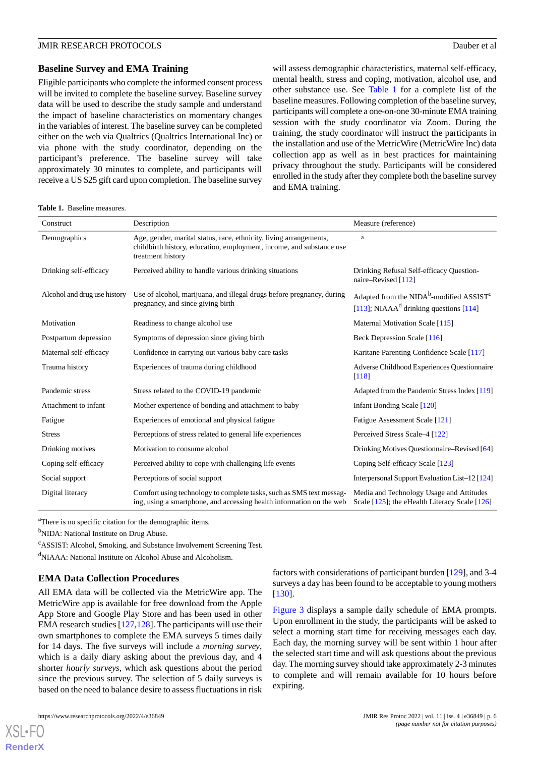#### **Baseline Survey and EMA Training**

Eligible participants who complete the informed consent process will be invited to complete the baseline survey. Baseline survey data will be used to describe the study sample and understand the impact of baseline characteristics on momentary changes in the variables of interest. The baseline survey can be completed either on the web via Qualtrics (Qualtrics International Inc) or via phone with the study coordinator, depending on the participant's preference. The baseline survey will take approximately 30 minutes to complete, and participants will receive a US \$25 gift card upon completion. The baseline survey will assess demographic characteristics, maternal self-efficacy, mental health, stress and coping, motivation, alcohol use, and other substance use. See [Table 1](#page-5-0) for a complete list of the baseline measures. Following completion of the baseline survey, participants will complete a one-on-one 30-minute EMA training session with the study coordinator via Zoom. During the training, the study coordinator will instruct the participants in the installation and use of the MetricWire (MetricWire Inc) data collection app as well as in best practices for maintaining privacy throughout the study. Participants will be considered enrolled in the study after they complete both the baseline survey and EMA training.

#### <span id="page-5-0"></span>**Table 1.** Baseline measures.

| Construct                    | Description                                                                                                                                                     | Measure (reference)                                                                                |
|------------------------------|-----------------------------------------------------------------------------------------------------------------------------------------------------------------|----------------------------------------------------------------------------------------------------|
| Demographics                 | Age, gender, marital status, race, ethnicity, living arrangements,<br>childbirth history, education, employment, income, and substance use<br>treatment history | a                                                                                                  |
| Drinking self-efficacy       | Perceived ability to handle various drinking situations                                                                                                         | Drinking Refusal Self-efficacy Question-<br>naire-Revised [112]                                    |
| Alcohol and drug use history | Use of alcohol, marijuana, and illegal drugs before pregnancy, during<br>pregnancy, and since giving birth                                                      | Adapted from the $NIDAb$ -modified $ASSISTc$<br>[113]; NIAAA <sup>d</sup> drinking questions [114] |
| Motivation                   | Readiness to change alcohol use                                                                                                                                 | Maternal Motivation Scale [115]                                                                    |
| Postpartum depression        | Symptoms of depression since giving birth                                                                                                                       | Beck Depression Scale [116]                                                                        |
| Maternal self-efficacy       | Confidence in carrying out various baby care tasks                                                                                                              | Karitane Parenting Confidence Scale [117]                                                          |
| Trauma history               | Experiences of trauma during childhood                                                                                                                          | Adverse Childhood Experiences Questionnaire<br>$\lceil 118 \rceil$                                 |
| Pandemic stress              | Stress related to the COVID-19 pandemic                                                                                                                         | Adapted from the Pandemic Stress Index [119]                                                       |
| Attachment to infant         | Mother experience of bonding and attachment to baby                                                                                                             | Infant Bonding Scale [120]                                                                         |
| Fatigue                      | Experiences of emotional and physical fatigue                                                                                                                   | Fatigue Assessment Scale [121]                                                                     |
| <b>Stress</b>                | Perceptions of stress related to general life experiences                                                                                                       | Perceived Stress Scale–4 [122]                                                                     |
| Drinking motives             | Motivation to consume alcohol                                                                                                                                   | Drinking Motives Questionnaire–Revised [64]                                                        |
| Coping self-efficacy         | Perceived ability to cope with challenging life events                                                                                                          | Coping Self-efficacy Scale [123]                                                                   |
| Social support               | Perceptions of social support                                                                                                                                   | Interpersonal Support Evaluation List–12 [124]                                                     |
| Digital literacy             | Comfort using technology to complete tasks, such as SMS text messag-<br>ing, using a smartphone, and accessing health information on the web                    | Media and Technology Usage and Attitudes<br>Scale $[125]$ ; the eHealth Literacy Scale $[126]$     |

<sup>a</sup>There is no specific citation for the demographic items.

<sup>b</sup>NIDA: National Institute on Drug Abuse.

<sup>c</sup>ASSIST: Alcohol, Smoking, and Substance Involvement Screening Test.

<sup>d</sup>NIAAA: National Institute on Alcohol Abuse and Alcoholism.

#### **EMA Data Collection Procedures**

All EMA data will be collected via the MetricWire app. The MetricWire app is available for free download from the Apple App Store and Google Play Store and has been used in other EMA research studies [[127,](#page-16-18)[128](#page-16-19)]. The participants will use their own smartphones to complete the EMA surveys 5 times daily for 14 days. The five surveys will include a *morning survey*, which is a daily diary asking about the previous day, and 4 shorter *hourly surveys*, which ask questions about the period since the previous survey. The selection of 5 daily surveys is based on the need to balance desire to assess fluctuations in risk

[XSL](http://www.w3.org/Style/XSL)•FO **[RenderX](http://www.renderx.com/)**

factors with considerations of participant burden [\[129](#page-16-20)], and 3-4 surveys a day has been found to be acceptable to young mothers [[130\]](#page-16-21).

[Figure 3](#page-6-0) displays a sample daily schedule of EMA prompts. Upon enrollment in the study, the participants will be asked to select a morning start time for receiving messages each day. Each day, the morning survey will be sent within 1 hour after the selected start time and will ask questions about the previous day. The morning survey should take approximately 2-3 minutes to complete and will remain available for 10 hours before expiring.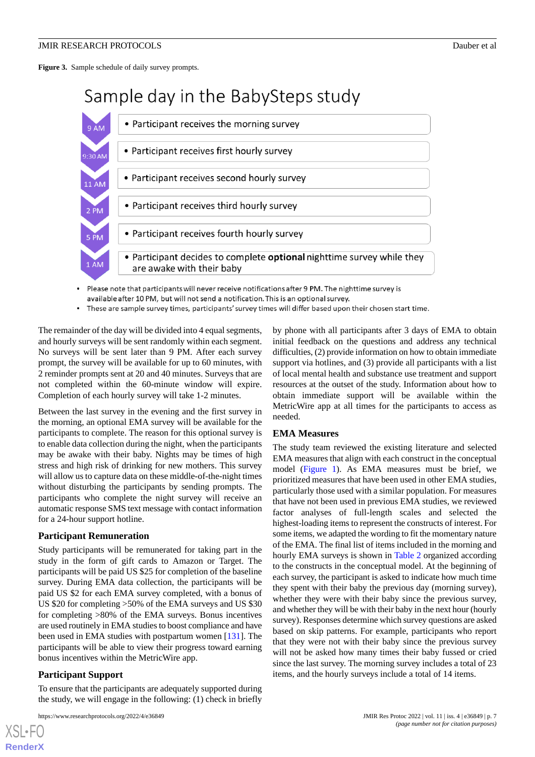<span id="page-6-0"></span>**Figure 3.** Sample schedule of daily survey prompts.

# Sample day in the BabySteps study



- Please note that participants will never receive notifications after 9 PM. The nighttime survey is available after 10 PM, but will not send a notification. This is an optional survey.
- These are sample survey times, participants' survey times will differ based upon their chosen start time.

The remainder of the day will be divided into 4 equal segments, and hourly surveys will be sent randomly within each segment. No surveys will be sent later than 9 PM. After each survey prompt, the survey will be available for up to 60 minutes, with 2 reminder prompts sent at 20 and 40 minutes. Surveys that are not completed within the 60-minute window will expire. Completion of each hourly survey will take 1-2 minutes.

Between the last survey in the evening and the first survey in the morning, an optional EMA survey will be available for the participants to complete. The reason for this optional survey is to enable data collection during the night, when the participants may be awake with their baby. Nights may be times of high stress and high risk of drinking for new mothers. This survey will allow us to capture data on these middle-of-the-night times without disturbing the participants by sending prompts. The participants who complete the night survey will receive an automatic response SMS text message with contact information for a 24-hour support hotline.

#### **Participant Remuneration**

Study participants will be remunerated for taking part in the study in the form of gift cards to Amazon or Target. The participants will be paid US \$25 for completion of the baseline survey. During EMA data collection, the participants will be paid US \$2 for each EMA survey completed, with a bonus of US \$20 for completing >50% of the EMA surveys and US \$30 for completing >80% of the EMA surveys. Bonus incentives are used routinely in EMA studies to boost compliance and have been used in EMA studies with postpartum women [[131\]](#page-16-22). The participants will be able to view their progress toward earning bonus incentives within the MetricWire app.

#### **Participant Support**

[XSL](http://www.w3.org/Style/XSL)•FO **[RenderX](http://www.renderx.com/)**

To ensure that the participants are adequately supported during the study, we will engage in the following: (1) check in briefly

by phone with all participants after 3 days of EMA to obtain initial feedback on the questions and address any technical difficulties, (2) provide information on how to obtain immediate support via hotlines, and (3) provide all participants with a list of local mental health and substance use treatment and support resources at the outset of the study. Information about how to obtain immediate support will be available within the MetricWire app at all times for the participants to access as needed.

#### **EMA Measures**

The study team reviewed the existing literature and selected EMA measures that align with each construct in the conceptual model ([Figure 1](#page-2-0)). As EMA measures must be brief, we prioritized measures that have been used in other EMA studies, particularly those used with a similar population. For measures that have not been used in previous EMA studies, we reviewed factor analyses of full-length scales and selected the highest-loading items to represent the constructs of interest. For some items, we adapted the wording to fit the momentary nature of the EMA. The final list of items included in the morning and hourly EMA surveys is shown in [Table 2](#page-7-0) organized according to the constructs in the conceptual model. At the beginning of each survey, the participant is asked to indicate how much time they spent with their baby the previous day (morning survey), whether they were with their baby since the previous survey, and whether they will be with their baby in the next hour (hourly survey). Responses determine which survey questions are asked based on skip patterns. For example, participants who report that they were not with their baby since the previous survey will not be asked how many times their baby fussed or cried since the last survey. The morning survey includes a total of 23 items, and the hourly surveys include a total of 14 items.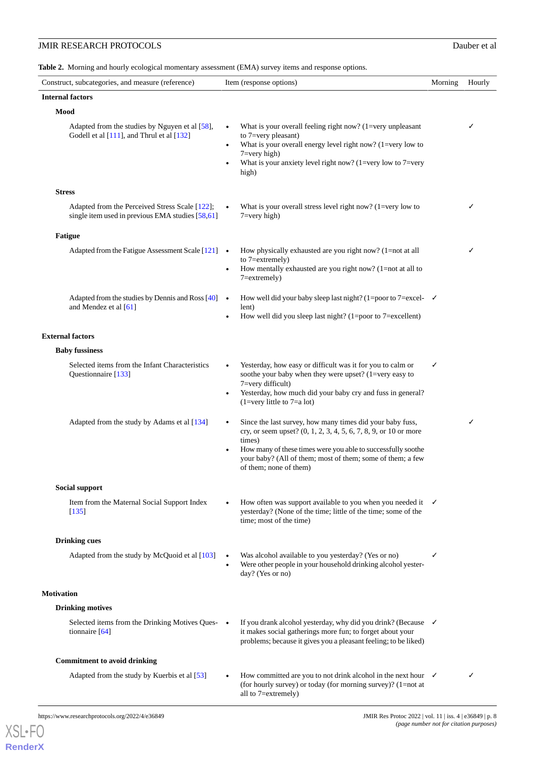<span id="page-7-0"></span>**Table 2.** Morning and hourly ecological momentary assessment (EMA) survey items and response options.

| Construct, subcategories, and measure (reference)                                                  | Item (response options)                                                                                                                                                                                                                                                                                      | Morning | Hourly |  |  |
|----------------------------------------------------------------------------------------------------|--------------------------------------------------------------------------------------------------------------------------------------------------------------------------------------------------------------------------------------------------------------------------------------------------------------|---------|--------|--|--|
| <b>Internal factors</b>                                                                            |                                                                                                                                                                                                                                                                                                              |         |        |  |  |
| Mood                                                                                               |                                                                                                                                                                                                                                                                                                              |         |        |  |  |
| Adapted from the studies by Nguyen et al [58],<br>Godell et al [111], and Thrul et al [132]        | What is your overall feeling right now? $(1=very\ unpleasant)$<br>to 7=very pleasant)<br>What is your overall energy level right now? (1=very low to<br>$7 = very high$<br>What is your anxiety level right now? (1=very low to 7=very<br>high)                                                              |         | ✓      |  |  |
| <b>Stress</b>                                                                                      |                                                                                                                                                                                                                                                                                                              |         |        |  |  |
| Adapted from the Perceived Stress Scale [122];<br>single item used in previous EMA studies [58,61] | What is your overall stress level right now? $(1=very)$ low to<br>$7 = very high$                                                                                                                                                                                                                            |         | ✓      |  |  |
| <b>Fatigue</b>                                                                                     |                                                                                                                                                                                                                                                                                                              |         |        |  |  |
| Adapted from the Fatigue Assessment Scale [121] •                                                  | How physically exhausted are you right now? (1=not at all<br>to $7 =$ extremely)<br>How mentally exhausted are you right now? $(1=not$ at all to<br>$\bullet$<br>$7 =$ extremely $)$                                                                                                                         |         | ✓      |  |  |
| Adapted from the studies by Dennis and Ross $[40]$ $\bullet$<br>and Mendez et al [61]              | How well did your baby sleep last night? (1=poor to 7=excel- $\checkmark$<br>lent)<br>How well did you sleep last night? $(1=poor\ to\ 7=excellent)$                                                                                                                                                         |         |        |  |  |
| <b>External factors</b>                                                                            |                                                                                                                                                                                                                                                                                                              |         |        |  |  |
| <b>Baby fussiness</b>                                                                              |                                                                                                                                                                                                                                                                                                              |         |        |  |  |
| Selected items from the Infant Characteristics<br>Questionnaire [133]                              | Yesterday, how easy or difficult was it for you to calm or<br>$\bullet$<br>soothe your baby when they were upset? (1=very easy to<br>7=very difficult)<br>Yesterday, how much did your baby cry and fuss in general?<br>$\bullet$<br>$(1=very$ little to $7=ab$ a lot)                                       | ✓       |        |  |  |
| Adapted from the study by Adams et al [134]                                                        | Since the last survey, how many times did your baby fuss,<br>$\bullet$<br>cry, or seem upset? (0, 1, 2, 3, 4, 5, 6, 7, 8, 9, or 10 or more<br>times)<br>How many of these times were you able to successfully soothe<br>your baby? (All of them; most of them; some of them; a few<br>of them; none of them) |         | ✓      |  |  |
| <b>Social support</b>                                                                              |                                                                                                                                                                                                                                                                                                              |         |        |  |  |
| Item from the Maternal Social Support Index<br>[135]                                               | How often was support available to you when you needed it<br>yesterday? (None of the time; little of the time; some of the<br>time; most of the time)                                                                                                                                                        | ✓       |        |  |  |
| <b>Drinking cues</b>                                                                               |                                                                                                                                                                                                                                                                                                              |         |        |  |  |
| Adapted from the study by McQuoid et al [103]                                                      | Was alcohol available to you yesterday? (Yes or no)<br>Were other people in your household drinking alcohol yester-<br>$\bullet$<br>day? (Yes or no)                                                                                                                                                         | ✓       |        |  |  |
| <b>Motivation</b>                                                                                  |                                                                                                                                                                                                                                                                                                              |         |        |  |  |
| <b>Drinking motives</b>                                                                            |                                                                                                                                                                                                                                                                                                              |         |        |  |  |
| Selected items from the Drinking Motives Ques- •<br>tionnaire $[64]$                               | If you drank alcohol yesterday, why did you drink? (Because $\checkmark$<br>it makes social gatherings more fun; to forget about your<br>problems; because it gives you a pleasant feeling; to be liked)                                                                                                     |         |        |  |  |
| <b>Commitment to avoid drinking</b>                                                                |                                                                                                                                                                                                                                                                                                              |         |        |  |  |
| Adapted from the study by Kuerbis et al [53]                                                       | How committed are you to not drink alcohol in the next hour $\checkmark$<br>(for hourly survey) or today (for morning survey)? (1=not at<br>all to 7=extremely)                                                                                                                                              |         | ✓      |  |  |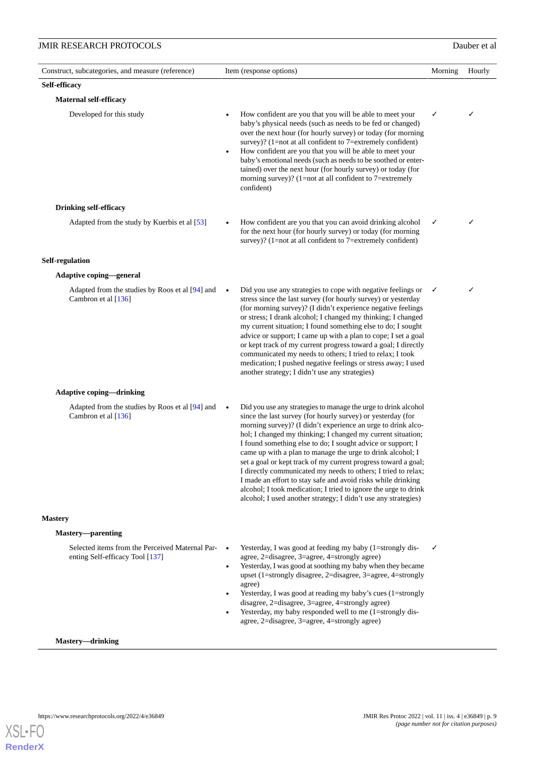| Construct, subcategories, and measure (reference)                                  | Item (response options)                                                                                                                                                                                                                                                                                                                                                                                                                                                                                                                                                                                                                                                                                                                        | Morning | Hourly |
|------------------------------------------------------------------------------------|------------------------------------------------------------------------------------------------------------------------------------------------------------------------------------------------------------------------------------------------------------------------------------------------------------------------------------------------------------------------------------------------------------------------------------------------------------------------------------------------------------------------------------------------------------------------------------------------------------------------------------------------------------------------------------------------------------------------------------------------|---------|--------|
| Self-efficacy                                                                      |                                                                                                                                                                                                                                                                                                                                                                                                                                                                                                                                                                                                                                                                                                                                                |         |        |
| <b>Maternal self-efficacy</b>                                                      |                                                                                                                                                                                                                                                                                                                                                                                                                                                                                                                                                                                                                                                                                                                                                |         |        |
| Developed for this study                                                           | How confident are you that you will be able to meet your<br>baby's physical needs (such as needs to be fed or changed)<br>over the next hour (for hourly survey) or today (for morning<br>survey)? $(1=not at all confident to 7=extremely confident)$<br>How confident are you that you will be able to meet your<br>baby's emotional needs (such as needs to be soothed or enter-<br>tained) over the next hour (for hourly survey) or today (for<br>morning survey)? $(1=not$ at all confident to $7=extremely$<br>confident)                                                                                                                                                                                                               | ✓       | ✓      |
| <b>Drinking self-efficacy</b>                                                      |                                                                                                                                                                                                                                                                                                                                                                                                                                                                                                                                                                                                                                                                                                                                                |         |        |
| Adapted from the study by Kuerbis et al [53]                                       | How confident are you that you can avoid drinking alcohol<br>for the next hour (for hourly survey) or today (for morning<br>survey)? $(1=not at all confident to 7=extremely confident)$                                                                                                                                                                                                                                                                                                                                                                                                                                                                                                                                                       | ✓       | ✓      |
| Self-regulation                                                                    |                                                                                                                                                                                                                                                                                                                                                                                                                                                                                                                                                                                                                                                                                                                                                |         |        |
| Adaptive coping—general                                                            |                                                                                                                                                                                                                                                                                                                                                                                                                                                                                                                                                                                                                                                                                                                                                |         |        |
| Adapted from the studies by Roos et al [94] and<br>Cambron et al [136]             | Did you use any strategies to cope with negative feelings or<br>$\bullet$<br>stress since the last survey (for hourly survey) or yesterday<br>(for morning survey)? (I didn't experience negative feelings<br>or stress; I drank alcohol; I changed my thinking; I changed<br>my current situation; I found something else to do; I sought<br>advice or support; I came up with a plan to cope; I set a goal<br>or kept track of my current progress toward a goal; I directly<br>communicated my needs to others; I tried to relax; I took<br>medication; I pushed negative feelings or stress away; I used<br>another strategy; I didn't use any strategies)                                                                                 | ✓       | ✓      |
| <b>Adaptive coping—drinking</b>                                                    |                                                                                                                                                                                                                                                                                                                                                                                                                                                                                                                                                                                                                                                                                                                                                |         |        |
| Adapted from the studies by Roos et al [94] and<br>Cambron et al [136]             | Did you use any strategies to manage the urge to drink alcohol<br>$\bullet$<br>since the last survey (for hourly survey) or yesterday (for<br>morning survey)? (I didn't experience an urge to drink alco-<br>hol; I changed my thinking; I changed my current situation;<br>I found something else to do; I sought advice or support; I<br>came up with a plan to manage the urge to drink alcohol; I<br>set a goal or kept track of my current progress toward a goal;<br>I directly communicated my needs to others; I tried to relax;<br>I made an effort to stay safe and avoid risks while drinking<br>alcohol; I took medication; I tried to ignore the urge to drink<br>alcohol; I used another strategy; I didn't use any strategies) |         |        |
| <b>Mastery</b>                                                                     |                                                                                                                                                                                                                                                                                                                                                                                                                                                                                                                                                                                                                                                                                                                                                |         |        |
| <b>Mastery—parenting</b>                                                           |                                                                                                                                                                                                                                                                                                                                                                                                                                                                                                                                                                                                                                                                                                                                                |         |        |
| Selected items from the Perceived Maternal Par-<br>enting Self-efficacy Tool [137] | Yesterday, I was good at feeding my baby (1=strongly dis-<br>agree, 2=disagree, 3=agree, 4=strongly agree)<br>Yesterday, I was good at soothing my baby when they became<br>$\bullet$<br>upset (1=strongly disagree, 2=disagree, 3=agree, 4=strongly<br>agree)<br>Yesterday, I was good at reading my baby's cues (1=strongly<br>disagree, 2=disagree, 3=agree, 4=strongly agree)<br>Yesterday, my baby responded well to me (1=strongly dis-<br>agree, 2=disagree, 3=agree, 4=strongly agree)                                                                                                                                                                                                                                                 | ✓       |        |
| Mastery—drinking                                                                   |                                                                                                                                                                                                                                                                                                                                                                                                                                                                                                                                                                                                                                                                                                                                                |         |        |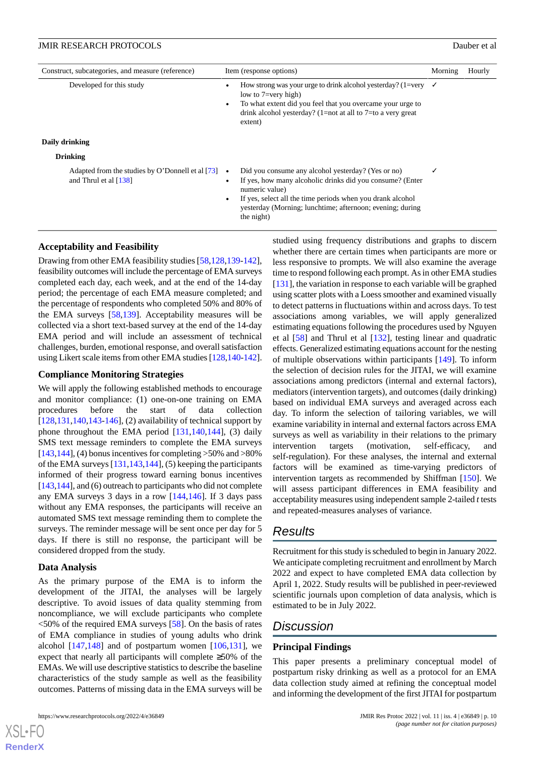| Construct, subcategories, and measure (reference)                                     | Item (response options)                                                                                                                                                                                                                                                    | Morning | Hourly |
|---------------------------------------------------------------------------------------|----------------------------------------------------------------------------------------------------------------------------------------------------------------------------------------------------------------------------------------------------------------------------|---------|--------|
| Developed for this study                                                              | How strong was your urge to drink alcohol yesterday? (1=very $\checkmark$<br>low to $7 = \text{very high}$ )<br>To what extent did you feel that you overcame your urge to<br>drink alcohol yesterday? $(1=not$ at all to $7=to$ a very great<br>extent)                   |         |        |
| Daily drinking<br><b>Drinking</b>                                                     |                                                                                                                                                                                                                                                                            |         |        |
| Adapted from the studies by O'Donnell et al [73] $\bullet$<br>and Thrul et al $[138]$ | Did you consume any alcohol yesterday? (Yes or no)<br>If yes, how many alcoholic drinks did you consume? (Enter<br>numeric value)<br>If yes, select all the time periods when you drank alcohol<br>yesterday (Morning; lunchtime; afternoon; evening; during<br>the night) | ✓       |        |

#### **Acceptability and Feasibility**

Drawing from other EMA feasibility studies [\[58](#page-13-17),[128](#page-16-19)[,139-](#page-17-6)[142\]](#page-17-7), feasibility outcomes will include the percentage of EMA surveys completed each day, each week, and at the end of the 14-day period; the percentage of each EMA measure completed; and the percentage of respondents who completed 50% and 80% of the EMA surveys [\[58](#page-13-17),[139\]](#page-17-6). Acceptability measures will be collected via a short text-based survey at the end of the 14-day EMA period and will include an assessment of technical challenges, burden, emotional response, and overall satisfaction using Likert scale items from other EMA studies [[128,](#page-16-19)[140](#page-17-8)[-142\]](#page-17-7).

#### **Compliance Monitoring Strategies**

We will apply the following established methods to encourage and monitor compliance: (1) one-on-one training on EMA procedures before the start of data collection  $[128,131,140,143,146]$  $[128,131,140,143,146]$  $[128,131,140,143,146]$  $[128,131,140,143,146]$  $[128,131,140,143,146]$  $[128,131,140,143,146]$  $[128,131,140,143,146]$  $[128,131,140,143,146]$ , (2) availability of technical support by phone throughout the EMA period [[131,](#page-16-22)[140](#page-17-8),[144\]](#page-17-11), (3) daily SMS text message reminders to complete the EMA surveys  $[143,144]$  $[143,144]$  $[143,144]$ , (4) bonus incentives for completing  $>50\%$  and  $>80\%$ of the EMA surveys [\[131](#page-16-22),[143](#page-17-9)[,144](#page-17-11)], (5) keeping the participants informed of their progress toward earning bonus incentives [[143](#page-17-9)[,144\]](#page-17-11), and (6) outreach to participants who did not complete any EMA surveys 3 days in a row [[144](#page-17-11)[,146](#page-17-10)]. If 3 days pass without any EMA responses, the participants will receive an automated SMS text message reminding them to complete the surveys. The reminder message will be sent once per day for 5 days. If there is still no response, the participant will be considered dropped from the study.

#### **Data Analysis**

As the primary purpose of the EMA is to inform the development of the JITAI, the analyses will be largely descriptive. To avoid issues of data quality stemming from noncompliance, we will exclude participants who complete  $<$  50% of the required EMA surveys [\[58](#page-13-17)]. On the basis of rates of EMA compliance in studies of young adults who drink alcohol  $[147,148]$  $[147,148]$  $[147,148]$  $[147,148]$  and of postpartum women  $[106,131]$  $[106,131]$  $[106,131]$ , we expect that nearly all participants will complete ≥50% of the EMAs. We will use descriptive statistics to describe the baseline characteristics of the study sample as well as the feasibility outcomes. Patterns of missing data in the EMA surveys will be

studied using frequency distributions and graphs to discern whether there are certain times when participants are more or less responsive to prompts. We will also examine the average time to respond following each prompt. As in other EMA studies [[131\]](#page-16-22), the variation in response to each variable will be graphed using scatter plots with a Loess smoother and examined visually to detect patterns in fluctuations within and across days. To test associations among variables, we will apply generalized estimating equations following the procedures used by Nguyen et al [[58\]](#page-13-17) and Thrul et al [[132\]](#page-16-23), testing linear and quadratic effects. Generalized estimating equations account for the nesting of multiple observations within participants [[149\]](#page-17-14). To inform the selection of decision rules for the JITAI, we will examine associations among predictors (internal and external factors), mediators (intervention targets), and outcomes (daily drinking) based on individual EMA surveys and averaged across each day. To inform the selection of tailoring variables, we will examine variability in internal and external factors across EMA surveys as well as variability in their relations to the primary intervention targets (motivation, self-efficacy, and self-regulation). For these analyses, the internal and external factors will be examined as time-varying predictors of intervention targets as recommended by Shiffman [\[150](#page-17-15)]. We will assess participant differences in EMA feasibility and acceptability measures using independent sample 2-tailed *t*tests and repeated-measures analyses of variance.

# *Results*

Recruitment for this study is scheduled to begin in January 2022. We anticipate completing recruitment and enrollment by March 2022 and expect to have completed EMA data collection by April 1, 2022. Study results will be published in peer-reviewed scientific journals upon completion of data analysis, which is estimated to be in July 2022.

# *Discussion*

#### **Principal Findings**

This paper presents a preliminary conceptual model of postpartum risky drinking as well as a protocol for an EMA data collection study aimed at refining the conceptual model and informing the development of the first JITAI for postpartum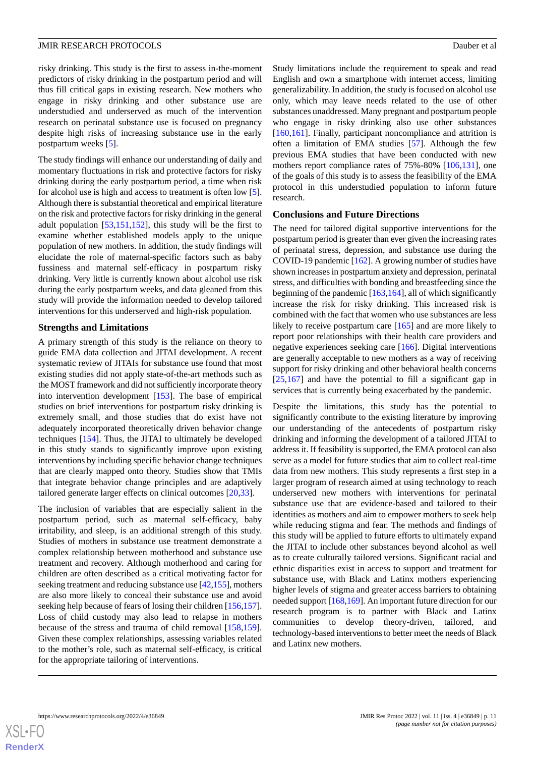risky drinking. This study is the first to assess in-the-moment predictors of risky drinking in the postpartum period and will thus fill critical gaps in existing research. New mothers who engage in risky drinking and other substance use are understudied and underserved as much of the intervention research on perinatal substance use is focused on pregnancy despite high risks of increasing substance use in the early postpartum weeks [[5\]](#page-11-3).

The study findings will enhance our understanding of daily and momentary fluctuations in risk and protective factors for risky drinking during the early postpartum period, a time when risk for alcohol use is high and access to treatment is often low [[5\]](#page-11-3). Although there is substantial theoretical and empirical literature on the risk and protective factors for risky drinking in the general adult population [\[53](#page-13-10),[151](#page-17-16)[,152](#page-17-17)], this study will be the first to examine whether established models apply to the unique population of new mothers. In addition, the study findings will elucidate the role of maternal-specific factors such as baby fussiness and maternal self-efficacy in postpartum risky drinking. Very little is currently known about alcohol use risk during the early postpartum weeks, and data gleaned from this study will provide the information needed to develop tailored interventions for this underserved and high-risk population.

#### **Strengths and Limitations**

A primary strength of this study is the reliance on theory to guide EMA data collection and JITAI development. A recent systematic review of JITAIs for substance use found that most existing studies did not apply state-of-the-art methods such as the MOST framework and did not sufficiently incorporate theory into intervention development [[153\]](#page-17-18). The base of empirical studies on brief interventions for postpartum risky drinking is extremely small, and those studies that do exist have not adequately incorporated theoretically driven behavior change techniques [[154\]](#page-17-19). Thus, the JITAI to ultimately be developed in this study stands to significantly improve upon existing interventions by including specific behavior change techniques that are clearly mapped onto theory. Studies show that TMIs that integrate behavior change principles and are adaptively tailored generate larger effects on clinical outcomes [\[20](#page-12-3),[33\]](#page-12-11).

The inclusion of variables that are especially salient in the postpartum period, such as maternal self-efficacy, baby irritability, and sleep, is an additional strength of this study. Studies of mothers in substance use treatment demonstrate a complex relationship between motherhood and substance use treatment and recovery. Although motherhood and caring for children are often described as a critical motivating factor for seeking treatment and reducing substance use [\[42](#page-13-1)[,155](#page-17-20)], mothers are also more likely to conceal their substance use and avoid seeking help because of fears of losing their children [[156](#page-18-0),[157\]](#page-18-1). Loss of child custody may also lead to relapse in mothers because of the stress and trauma of child removal [\[158](#page-18-2),[159\]](#page-18-3). Given these complex relationships, assessing variables related to the mother's role, such as maternal self-efficacy, is critical for the appropriate tailoring of interventions.

Study limitations include the requirement to speak and read English and own a smartphone with internet access, limiting generalizability. In addition, the study is focused on alcohol use only, which may leave needs related to the use of other substances unaddressed. Many pregnant and postpartum people who engage in risky drinking also use other substances [[160](#page-18-4)[,161\]](#page-18-5). Finally, participant noncompliance and attrition is often a limitation of EMA studies [[57\]](#page-13-13). Although the few previous EMA studies that have been conducted with new mothers report compliance rates of 75%-80% [[106,](#page-15-19)[131](#page-16-22)], one of the goals of this study is to assess the feasibility of the EMA protocol in this understudied population to inform future research.

#### **Conclusions and Future Directions**

The need for tailored digital supportive interventions for the postpartum period is greater than ever given the increasing rates of perinatal stress, depression, and substance use during the COVID-19 pandemic [\[162](#page-18-6)]. A growing number of studies have shown increases in postpartum anxiety and depression, perinatal stress, and difficulties with bonding and breastfeeding since the beginning of the pandemic  $[163,164]$  $[163,164]$  $[163,164]$ , all of which significantly increase the risk for risky drinking. This increased risk is combined with the fact that women who use substances are less likely to receive postpartum care [\[165](#page-18-9)] and are more likely to report poor relationships with their health care providers and negative experiences seeking care [\[166](#page-18-10)]. Digital interventions are generally acceptable to new mothers as a way of receiving support for risky drinking and other behavioral health concerns [[25,](#page-12-6)[167](#page-18-11)] and have the potential to fill a significant gap in services that is currently being exacerbated by the pandemic.

Despite the limitations, this study has the potential to significantly contribute to the existing literature by improving our understanding of the antecedents of postpartum risky drinking and informing the development of a tailored JITAI to address it. If feasibility is supported, the EMA protocol can also serve as a model for future studies that aim to collect real-time data from new mothers. This study represents a first step in a larger program of research aimed at using technology to reach underserved new mothers with interventions for perinatal substance use that are evidence-based and tailored to their identities as mothers and aim to empower mothers to seek help while reducing stigma and fear. The methods and findings of this study will be applied to future efforts to ultimately expand the JITAI to include other substances beyond alcohol as well as to create culturally tailored versions. Significant racial and ethnic disparities exist in access to support and treatment for substance use, with Black and Latinx mothers experiencing higher levels of stigma and greater access barriers to obtaining needed support [[168,](#page-18-12)[169\]](#page-18-13). An important future direction for our research program is to partner with Black and Latinx communities to develop theory-driven, tailored, and technology-based interventions to better meet the needs of Black and Latinx new mothers.

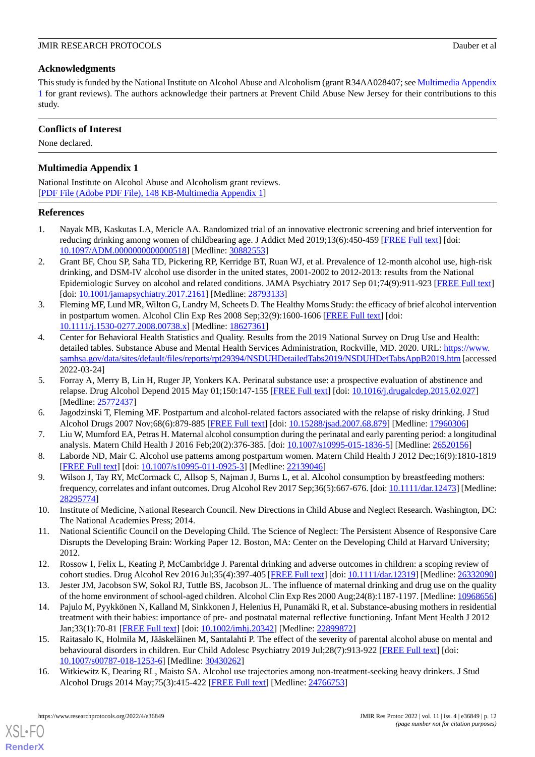# **Acknowledgments**

This study is funded by the National Institute on Alcohol Abuse and Alcoholism (grant R34AA028407; see [Multimedia Appendix](#page-11-13) [1](#page-11-13) for grant reviews). The authors acknowledge their partners at Prevent Child Abuse New Jersey for their contributions to this study.

# **Conflicts of Interest**

<span id="page-11-13"></span>None declared.

# **Multimedia Appendix 1**

National Institute on Alcohol Abuse and Alcoholism grant reviews. [[PDF File \(Adobe PDF File\), 148 KB](https://jmir.org/api/download?alt_name=resprot_v11i4e36849_app1.pdf&filename=0e2f40935a6c61cbf5a641792f98a32f.pdf)-[Multimedia Appendix 1\]](https://jmir.org/api/download?alt_name=resprot_v11i4e36849_app1.pdf&filename=0e2f40935a6c61cbf5a641792f98a32f.pdf)

# <span id="page-11-0"></span>**References**

- 1. Nayak MB, Kaskutas LA, Mericle AA. Randomized trial of an innovative electronic screening and brief intervention for reducing drinking among women of childbearing age. J Addict Med 2019;13(6):450-459 [[FREE Full text\]](http://europepmc.org/abstract/MED/30882553) [doi: [10.1097/ADM.0000000000000518\]](http://dx.doi.org/10.1097/ADM.0000000000000518) [Medline: [30882553](http://www.ncbi.nlm.nih.gov/entrez/query.fcgi?cmd=Retrieve&db=PubMed&list_uids=30882553&dopt=Abstract)]
- <span id="page-11-1"></span>2. Grant BF, Chou SP, Saha TD, Pickering RP, Kerridge BT, Ruan WJ, et al. Prevalence of 12-month alcohol use, high-risk drinking, and DSM-IV alcohol use disorder in the united states, 2001-2002 to 2012-2013: results from the National Epidemiologic Survey on alcohol and related conditions. JAMA Psychiatry 2017 Sep 01;74(9):911-923 [\[FREE Full text\]](http://europepmc.org/abstract/MED/28793133) [doi: [10.1001/jamapsychiatry.2017.2161\]](http://dx.doi.org/10.1001/jamapsychiatry.2017.2161) [Medline: [28793133](http://www.ncbi.nlm.nih.gov/entrez/query.fcgi?cmd=Retrieve&db=PubMed&list_uids=28793133&dopt=Abstract)]
- <span id="page-11-2"></span>3. Fleming MF, Lund MR, Wilton G, Landry M, Scheets D. The Healthy Moms Study: the efficacy of brief alcohol intervention in postpartum women. Alcohol Clin Exp Res 2008 Sep;32(9):1600-1606 [\[FREE Full text\]](http://europepmc.org/abstract/MED/18627361) [doi: [10.1111/j.1530-0277.2008.00738.x\]](http://dx.doi.org/10.1111/j.1530-0277.2008.00738.x) [Medline: [18627361\]](http://www.ncbi.nlm.nih.gov/entrez/query.fcgi?cmd=Retrieve&db=PubMed&list_uids=18627361&dopt=Abstract)
- <span id="page-11-3"></span>4. Center for Behavioral Health Statistics and Quality. Results from the 2019 National Survey on Drug Use and Health: detailed tables. Substance Abuse and Mental Health Services Administration, Rockville, MD. 2020. URL: [https://www.](https://www.samhsa.gov/data/sites/default/files/reports/rpt29394/NSDUHDetailedTabs2019/NSDUHDetTabsAppB2019.htm) [samhsa.gov/data/sites/default/files/reports/rpt29394/NSDUHDetailedTabs2019/NSDUHDetTabsAppB2019.htm](https://www.samhsa.gov/data/sites/default/files/reports/rpt29394/NSDUHDetailedTabs2019/NSDUHDetTabsAppB2019.htm) [accessed 2022-03-24]
- <span id="page-11-5"></span><span id="page-11-4"></span>5. Forray A, Merry B, Lin H, Ruger JP, Yonkers KA. Perinatal substance use: a prospective evaluation of abstinence and relapse. Drug Alcohol Depend 2015 May 01;150:147-155 [\[FREE Full text\]](http://europepmc.org/abstract/MED/25772437) [doi: [10.1016/j.drugalcdep.2015.02.027](http://dx.doi.org/10.1016/j.drugalcdep.2015.02.027)] [Medline: [25772437](http://www.ncbi.nlm.nih.gov/entrez/query.fcgi?cmd=Retrieve&db=PubMed&list_uids=25772437&dopt=Abstract)]
- 6. Jagodzinski T, Fleming MF. Postpartum and alcohol-related factors associated with the relapse of risky drinking. J Stud Alcohol Drugs 2007 Nov;68(6):879-885 [\[FREE Full text](http://europepmc.org/abstract/MED/17960306)] [doi: [10.15288/jsad.2007.68.879\]](http://dx.doi.org/10.15288/jsad.2007.68.879) [Medline: [17960306](http://www.ncbi.nlm.nih.gov/entrez/query.fcgi?cmd=Retrieve&db=PubMed&list_uids=17960306&dopt=Abstract)]
- <span id="page-11-6"></span>7. Liu W, Mumford EA, Petras H. Maternal alcohol consumption during the perinatal and early parenting period: a longitudinal analysis. Matern Child Health J 2016 Feb;20(2):376-385. [doi: [10.1007/s10995-015-1836-5](http://dx.doi.org/10.1007/s10995-015-1836-5)] [Medline: [26520156\]](http://www.ncbi.nlm.nih.gov/entrez/query.fcgi?cmd=Retrieve&db=PubMed&list_uids=26520156&dopt=Abstract)
- <span id="page-11-7"></span>8. Laborde ND, Mair C. Alcohol use patterns among postpartum women. Matern Child Health J 2012 Dec;16(9):1810-1819 [[FREE Full text](http://europepmc.org/abstract/MED/22139046)] [doi: [10.1007/s10995-011-0925-3\]](http://dx.doi.org/10.1007/s10995-011-0925-3) [Medline: [22139046](http://www.ncbi.nlm.nih.gov/entrez/query.fcgi?cmd=Retrieve&db=PubMed&list_uids=22139046&dopt=Abstract)]
- <span id="page-11-8"></span>9. Wilson J, Tay RY, McCormack C, Allsop S, Najman J, Burns L, et al. Alcohol consumption by breastfeeding mothers: frequency, correlates and infant outcomes. Drug Alcohol Rev 2017 Sep;36(5):667-676. [doi: [10.1111/dar.12473](http://dx.doi.org/10.1111/dar.12473)] [Medline: [28295774](http://www.ncbi.nlm.nih.gov/entrez/query.fcgi?cmd=Retrieve&db=PubMed&list_uids=28295774&dopt=Abstract)]
- <span id="page-11-9"></span>10. Institute of Medicine, National Research Council. New Directions in Child Abuse and Neglect Research. Washington, DC: The National Academies Press; 2014.
- <span id="page-11-10"></span>11. National Scientific Council on the Developing Child. The Science of Neglect: The Persistent Absence of Responsive Care Disrupts the Developing Brain: Working Paper 12. Boston, MA: Center on the Developing Child at Harvard University; 2012.
- 12. Rossow I, Felix L, Keating P, McCambridge J. Parental drinking and adverse outcomes in children: a scoping review of cohort studies. Drug Alcohol Rev 2016 Jul;35(4):397-405 [\[FREE Full text\]](http://europepmc.org/abstract/MED/26332090) [doi: [10.1111/dar.12319](http://dx.doi.org/10.1111/dar.12319)] [Medline: [26332090](http://www.ncbi.nlm.nih.gov/entrez/query.fcgi?cmd=Retrieve&db=PubMed&list_uids=26332090&dopt=Abstract)]
- <span id="page-11-11"></span>13. Jester JM, Jacobson SW, Sokol RJ, Tuttle BS, Jacobson JL. The influence of maternal drinking and drug use on the quality of the home environment of school-aged children. Alcohol Clin Exp Res 2000 Aug;24(8):1187-1197. [Medline: [10968656](http://www.ncbi.nlm.nih.gov/entrez/query.fcgi?cmd=Retrieve&db=PubMed&list_uids=10968656&dopt=Abstract)]
- <span id="page-11-12"></span>14. Pajulo M, Pyykkönen N, Kalland M, Sinkkonen J, Helenius H, Punamäki R, et al. Substance-abusing mothers in residential treatment with their babies: importance of pre- and postnatal maternal reflective functioning. Infant Ment Health J 2012 Jan;33(1):70-81 [\[FREE Full text\]](http://europepmc.org/abstract/MED/22899872) [doi: [10.1002/imhj.20342\]](http://dx.doi.org/10.1002/imhj.20342) [Medline: [22899872\]](http://www.ncbi.nlm.nih.gov/entrez/query.fcgi?cmd=Retrieve&db=PubMed&list_uids=22899872&dopt=Abstract)
- 15. Raitasalo K, Holmila M, Jääskeläinen M, Santalahti P. The effect of the severity of parental alcohol abuse on mental and behavioural disorders in children. Eur Child Adolesc Psychiatry 2019 Jul;28(7):913-922 [[FREE Full text\]](http://europepmc.org/abstract/MED/30430262) [doi: [10.1007/s00787-018-1253-6\]](http://dx.doi.org/10.1007/s00787-018-1253-6) [Medline: [30430262](http://www.ncbi.nlm.nih.gov/entrez/query.fcgi?cmd=Retrieve&db=PubMed&list_uids=30430262&dopt=Abstract)]
- 16. Witkiewitz K, Dearing RL, Maisto SA. Alcohol use trajectories among non-treatment-seeking heavy drinkers. J Stud Alcohol Drugs 2014 May; 75(3): 415-422 [\[FREE Full text\]](http://europepmc.org/abstract/MED/24766753) [Medline: [24766753\]](http://www.ncbi.nlm.nih.gov/entrez/query.fcgi?cmd=Retrieve&db=PubMed&list_uids=24766753&dopt=Abstract)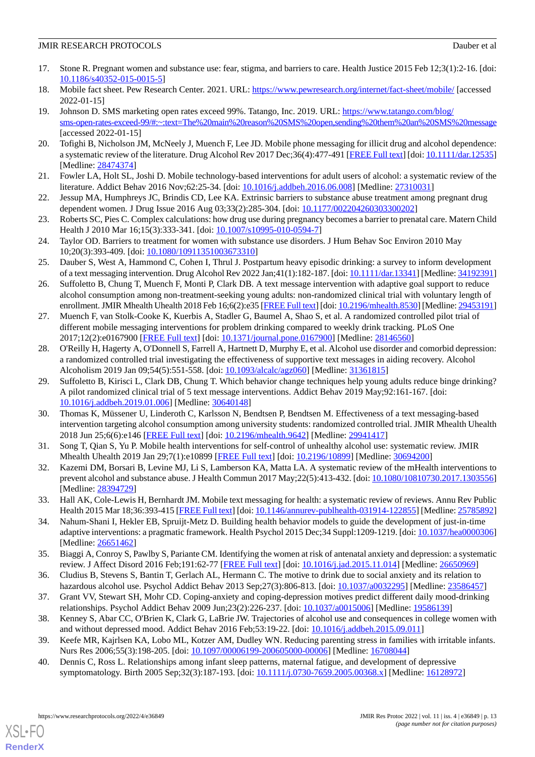- <span id="page-12-0"></span>17. Stone R. Pregnant women and substance use: fear, stigma, and barriers to care. Health Justice 2015 Feb 12;3(1):2-16. [doi: [10.1186/s40352-015-0015-5\]](http://dx.doi.org/10.1186/s40352-015-0015-5)
- <span id="page-12-2"></span><span id="page-12-1"></span>18. Mobile fact sheet. Pew Research Center. 2021. URL: <https://www.pewresearch.org/internet/fact-sheet/mobile/> [accessed] 2022-01-15]
- 19. Johnson D. SMS marketing open rates exceed 99%. Tatango, Inc. 2019. URL: [https://www.tatango.com/blog/](https://www.tatango.com/blog/sms-open-rates-exceed-99/#:~:text=The%20main%20reason%20SMS%20open,sending%20them%20an%20SMS%20message) [sms-open-rates-exceed-99/#:~:text=The%20main%20reason%20SMS%20open,sending%20them%20an%20SMS%20message](https://www.tatango.com/blog/sms-open-rates-exceed-99/#:~:text=The%20main%20reason%20SMS%20open,sending%20them%20an%20SMS%20message) [accessed 2022-01-15]
- <span id="page-12-4"></span><span id="page-12-3"></span>20. Tofighi B, Nicholson JM, McNeely J, Muench F, Lee JD. Mobile phone messaging for illicit drug and alcohol dependence: a systematic review of the literature. Drug Alcohol Rev 2017 Dec;36(4):477-491 [\[FREE Full text](https://doi.org/10.1111/dar.12535)] [doi: [10.1111/dar.12535](http://dx.doi.org/10.1111/dar.12535)] [Medline: [28474374](http://www.ncbi.nlm.nih.gov/entrez/query.fcgi?cmd=Retrieve&db=PubMed&list_uids=28474374&dopt=Abstract)]
- 21. Fowler LA, Holt SL, Joshi D. Mobile technology-based interventions for adult users of alcohol: a systematic review of the literature. Addict Behav 2016 Nov;62:25-34. [doi: [10.1016/j.addbeh.2016.06.008\]](http://dx.doi.org/10.1016/j.addbeh.2016.06.008) [Medline: [27310031\]](http://www.ncbi.nlm.nih.gov/entrez/query.fcgi?cmd=Retrieve&db=PubMed&list_uids=27310031&dopt=Abstract)
- 22. Jessup MA, Humphreys JC, Brindis CD, Lee KA. Extrinsic barriers to substance abuse treatment among pregnant drug dependent women. J Drug Issue 2016 Aug 03;33(2):285-304. [doi: [10.1177/002204260303300202](http://dx.doi.org/10.1177/002204260303300202)]
- <span id="page-12-5"></span>23. Roberts SC, Pies C. Complex calculations: how drug use during pregnancy becomes a barrier to prenatal care. Matern Child Health J 2010 Mar 16;15(3):333-341. [doi: [10.1007/s10995-010-0594-7\]](http://dx.doi.org/10.1007/s10995-010-0594-7)
- <span id="page-12-6"></span>24. Taylor OD. Barriers to treatment for women with substance use disorders. J Hum Behav Soc Environ 2010 May 10;20(3):393-409. [doi: [10.1080/10911351003673310\]](http://dx.doi.org/10.1080/10911351003673310)
- <span id="page-12-7"></span>25. Dauber S, West A, Hammond C, Cohen I, Thrul J. Postpartum heavy episodic drinking: a survey to inform development of a text messaging intervention. Drug Alcohol Rev 2022 Jan;41(1):182-187. [doi: [10.1111/dar.13341\]](http://dx.doi.org/10.1111/dar.13341) [Medline: [34192391](http://www.ncbi.nlm.nih.gov/entrez/query.fcgi?cmd=Retrieve&db=PubMed&list_uids=34192391&dopt=Abstract)]
- 26. Suffoletto B, Chung T, Muench F, Monti P, Clark DB. A text message intervention with adaptive goal support to reduce alcohol consumption among non-treatment-seeking young adults: non-randomized clinical trial with voluntary length of enrollment. JMIR Mhealth Uhealth 2018 Feb 16;6(2):e35 [\[FREE Full text](https://mhealth.jmir.org/2018/2/e35/)] [doi: [10.2196/mhealth.8530\]](http://dx.doi.org/10.2196/mhealth.8530) [Medline: [29453191\]](http://www.ncbi.nlm.nih.gov/entrez/query.fcgi?cmd=Retrieve&db=PubMed&list_uids=29453191&dopt=Abstract)
- 27. Muench F, van Stolk-Cooke K, Kuerbis A, Stadler G, Baumel A, Shao S, et al. A randomized controlled pilot trial of different mobile messaging interventions for problem drinking compared to weekly drink tracking. PLoS One 2017;12(2):e0167900 [\[FREE Full text](http://dx.plos.org/10.1371/journal.pone.0167900)] [doi: [10.1371/journal.pone.0167900\]](http://dx.doi.org/10.1371/journal.pone.0167900) [Medline: [28146560\]](http://www.ncbi.nlm.nih.gov/entrez/query.fcgi?cmd=Retrieve&db=PubMed&list_uids=28146560&dopt=Abstract)
- 28. O'Reilly H, Hagerty A, O'Donnell S, Farrell A, Hartnett D, Murphy E, et al. Alcohol use disorder and comorbid depression: a randomized controlled trial investigating the effectiveness of supportive text messages in aiding recovery. Alcohol Alcoholism 2019 Jan 09;54(5):551-558. [doi: [10.1093/alcalc/agz060](http://dx.doi.org/10.1093/alcalc/agz060)] [Medline: [31361815\]](http://www.ncbi.nlm.nih.gov/entrez/query.fcgi?cmd=Retrieve&db=PubMed&list_uids=31361815&dopt=Abstract)
- <span id="page-12-8"></span>29. Suffoletto B, Kirisci L, Clark DB, Chung T. Which behavior change techniques help young adults reduce binge drinking? A pilot randomized clinical trial of 5 text message interventions. Addict Behav 2019 May;92:161-167. [doi: [10.1016/j.addbeh.2019.01.006](http://dx.doi.org/10.1016/j.addbeh.2019.01.006)] [Medline: [30640148](http://www.ncbi.nlm.nih.gov/entrez/query.fcgi?cmd=Retrieve&db=PubMed&list_uids=30640148&dopt=Abstract)]
- <span id="page-12-10"></span><span id="page-12-9"></span>30. Thomas K, Müssener U, Linderoth C, Karlsson N, Bendtsen P, Bendtsen M. Effectiveness of a text messaging-based intervention targeting alcohol consumption among university students: randomized controlled trial. JMIR Mhealth Uhealth 2018 Jun 25;6(6):e146 [[FREE Full text](http://mhealth.jmir.org/2018/6/e146/)] [doi: [10.2196/mhealth.9642](http://dx.doi.org/10.2196/mhealth.9642)] [Medline: [29941417](http://www.ncbi.nlm.nih.gov/entrez/query.fcgi?cmd=Retrieve&db=PubMed&list_uids=29941417&dopt=Abstract)]
- <span id="page-12-11"></span>31. Song T, Qian S, Yu P. Mobile health interventions for self-control of unhealthy alcohol use: systematic review. JMIR Mhealth Uhealth 2019 Jan 29;7(1):e10899 [\[FREE Full text\]](https://mhealth.jmir.org/2019/1/e10899/) [doi: [10.2196/10899](http://dx.doi.org/10.2196/10899)] [Medline: [30694200](http://www.ncbi.nlm.nih.gov/entrez/query.fcgi?cmd=Retrieve&db=PubMed&list_uids=30694200&dopt=Abstract)]
- <span id="page-12-12"></span>32. Kazemi DM, Borsari B, Levine MJ, Li S, Lamberson KA, Matta LA. A systematic review of the mHealth interventions to prevent alcohol and substance abuse. J Health Commun 2017 May;22(5):413-432. [doi: [10.1080/10810730.2017.1303556](http://dx.doi.org/10.1080/10810730.2017.1303556)] [Medline: [28394729](http://www.ncbi.nlm.nih.gov/entrez/query.fcgi?cmd=Retrieve&db=PubMed&list_uids=28394729&dopt=Abstract)]
- <span id="page-12-13"></span>33. Hall AK, Cole-Lewis H, Bernhardt JM. Mobile text messaging for health: a systematic review of reviews. Annu Rev Public Health 2015 Mar 18;36:393-415 [\[FREE Full text](http://europepmc.org/abstract/MED/25785892)] [doi: [10.1146/annurev-publhealth-031914-122855](http://dx.doi.org/10.1146/annurev-publhealth-031914-122855)] [Medline: [25785892\]](http://www.ncbi.nlm.nih.gov/entrez/query.fcgi?cmd=Retrieve&db=PubMed&list_uids=25785892&dopt=Abstract)
- <span id="page-12-14"></span>34. Nahum-Shani I, Hekler EB, Spruijt-Metz D. Building health behavior models to guide the development of just-in-time adaptive interventions: a pragmatic framework. Health Psychol 2015 Dec;34 Suppl:1209-1219. [doi: [10.1037/hea0000306](http://dx.doi.org/10.1037/hea0000306)] [Medline: [26651462](http://www.ncbi.nlm.nih.gov/entrez/query.fcgi?cmd=Retrieve&db=PubMed&list_uids=26651462&dopt=Abstract)]
- <span id="page-12-15"></span>35. Biaggi A, Conroy S, Pawlby S, Pariante CM. Identifying the women at risk of antenatal anxiety and depression: a systematic review. J Affect Disord 2016 Feb;191:62-77 [[FREE Full text](https://linkinghub.elsevier.com/retrieve/pii/S0165-0327(15)30233-0)] [doi: [10.1016/j.jad.2015.11.014\]](http://dx.doi.org/10.1016/j.jad.2015.11.014) [Medline: [26650969](http://www.ncbi.nlm.nih.gov/entrez/query.fcgi?cmd=Retrieve&db=PubMed&list_uids=26650969&dopt=Abstract)]
- <span id="page-12-16"></span>36. Cludius B, Stevens S, Bantin T, Gerlach AL, Hermann C. The motive to drink due to social anxiety and its relation to hazardous alcohol use. Psychol Addict Behav 2013 Sep;27(3):806-813. [doi: [10.1037/a0032295\]](http://dx.doi.org/10.1037/a0032295) [Medline: [23586457](http://www.ncbi.nlm.nih.gov/entrez/query.fcgi?cmd=Retrieve&db=PubMed&list_uids=23586457&dopt=Abstract)]
- <span id="page-12-17"></span>37. Grant VV, Stewart SH, Mohr CD. Coping-anxiety and coping-depression motives predict different daily mood-drinking relationships. Psychol Addict Behav 2009 Jun;23(2):226-237. [doi: [10.1037/a0015006](http://dx.doi.org/10.1037/a0015006)] [Medline: [19586139](http://www.ncbi.nlm.nih.gov/entrez/query.fcgi?cmd=Retrieve&db=PubMed&list_uids=19586139&dopt=Abstract)]
- 38. Kenney S, Abar CC, O'Brien K, Clark G, LaBrie JW. Trajectories of alcohol use and consequences in college women with and without depressed mood. Addict Behav 2016 Feb;53:19-22. [doi: [10.1016/j.addbeh.2015.09.011](http://dx.doi.org/10.1016/j.addbeh.2015.09.011)]
- 39. Keefe MR, Kajrlsen KA, Lobo ML, Kotzer AM, Dudley WN. Reducing parenting stress in families with irritable infants. Nurs Res 2006;55(3):198-205. [doi: [10.1097/00006199-200605000-00006\]](http://dx.doi.org/10.1097/00006199-200605000-00006) [Medline: [16708044\]](http://www.ncbi.nlm.nih.gov/entrez/query.fcgi?cmd=Retrieve&db=PubMed&list_uids=16708044&dopt=Abstract)
- 40. Dennis C, Ross L. Relationships among infant sleep patterns, maternal fatigue, and development of depressive symptomatology. Birth 2005 Sep;32(3):187-193. [doi: [10.1111/j.0730-7659.2005.00368.x\]](http://dx.doi.org/10.1111/j.0730-7659.2005.00368.x) [Medline: [16128972\]](http://www.ncbi.nlm.nih.gov/entrez/query.fcgi?cmd=Retrieve&db=PubMed&list_uids=16128972&dopt=Abstract)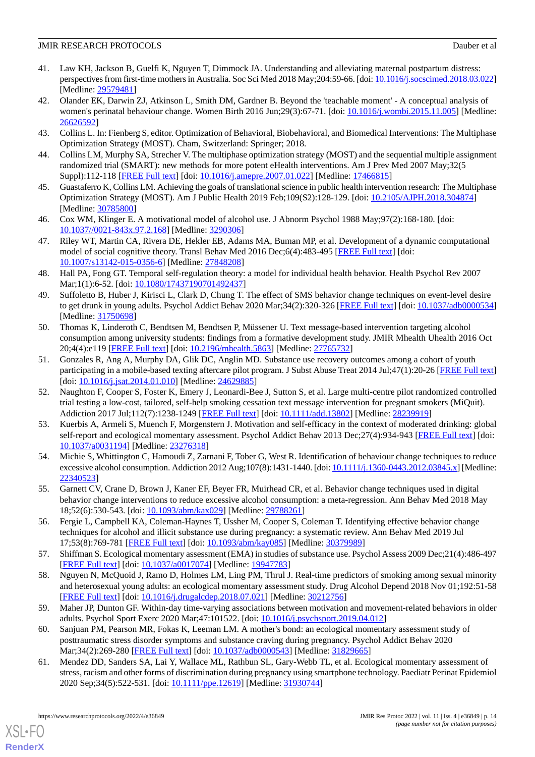- <span id="page-13-0"></span>41. Law KH, Jackson B, Guelfi K, Nguyen T, Dimmock JA. Understanding and alleviating maternal postpartum distress: perspectives from first-time mothers in Australia. Soc Sci Med 2018 May;204:59-66. [doi: [10.1016/j.socscimed.2018.03.022\]](http://dx.doi.org/10.1016/j.socscimed.2018.03.022) [Medline: [29579481](http://www.ncbi.nlm.nih.gov/entrez/query.fcgi?cmd=Retrieve&db=PubMed&list_uids=29579481&dopt=Abstract)]
- <span id="page-13-1"></span>42. Olander EK, Darwin ZJ, Atkinson L, Smith DM, Gardner B. Beyond the 'teachable moment' - A conceptual analysis of women's perinatal behaviour change. Women Birth 2016 Jun;29(3):67-71. [doi: [10.1016/j.wombi.2015.11.005\]](http://dx.doi.org/10.1016/j.wombi.2015.11.005) [Medline: [26626592](http://www.ncbi.nlm.nih.gov/entrez/query.fcgi?cmd=Retrieve&db=PubMed&list_uids=26626592&dopt=Abstract)]
- <span id="page-13-3"></span><span id="page-13-2"></span>43. Collins L. In: Fienberg S, editor. Optimization of Behavioral, Biobehavioral, and Biomedical Interventions: The Multiphase Optimization Strategy (MOST). Cham, Switzerland: Springer; 2018.
- <span id="page-13-4"></span>44. Collins LM, Murphy SA, Strecher V. The multiphase optimization strategy (MOST) and the sequential multiple assignment randomized trial (SMART): new methods for more potent eHealth interventions. Am J Prev Med 2007 May;32(5 Suppl):112-118 [\[FREE Full text\]](http://europepmc.org/abstract/MED/17466815) [doi: [10.1016/j.amepre.2007.01.022](http://dx.doi.org/10.1016/j.amepre.2007.01.022)] [Medline: [17466815](http://www.ncbi.nlm.nih.gov/entrez/query.fcgi?cmd=Retrieve&db=PubMed&list_uids=17466815&dopt=Abstract)]
- <span id="page-13-5"></span>45. Guastaferro K, Collins LM. Achieving the goals of translational science in public health intervention research: The Multiphase Optimization Strategy (MOST). Am J Public Health 2019 Feb;109(S2):128-129. [doi: [10.2105/AJPH.2018.304874](http://dx.doi.org/10.2105/AJPH.2018.304874)] [Medline: [30785800](http://www.ncbi.nlm.nih.gov/entrez/query.fcgi?cmd=Retrieve&db=PubMed&list_uids=30785800&dopt=Abstract)]
- <span id="page-13-6"></span>46. Cox WM, Klinger E. A motivational model of alcohol use. J Abnorm Psychol 1988 May;97(2):168-180. [doi: [10.1037//0021-843x.97.2.168](http://dx.doi.org/10.1037//0021-843x.97.2.168)] [Medline: [3290306](http://www.ncbi.nlm.nih.gov/entrez/query.fcgi?cmd=Retrieve&db=PubMed&list_uids=3290306&dopt=Abstract)]
- <span id="page-13-7"></span>47. Riley WT, Martin CA, Rivera DE, Hekler EB, Adams MA, Buman MP, et al. Development of a dynamic computational model of social cognitive theory. Transl Behav Med 2016 Dec;6(4):483-495 [\[FREE Full text\]](http://europepmc.org/abstract/MED/27848208) [doi: [10.1007/s13142-015-0356-6\]](http://dx.doi.org/10.1007/s13142-015-0356-6) [Medline: [27848208](http://www.ncbi.nlm.nih.gov/entrez/query.fcgi?cmd=Retrieve&db=PubMed&list_uids=27848208&dopt=Abstract)]
- <span id="page-13-8"></span>48. Hall PA, Fong GT. Temporal self-regulation theory: a model for individual health behavior. Health Psychol Rev 2007 Mar;1(1):6-52. [doi: [10.1080/17437190701492437](http://dx.doi.org/10.1080/17437190701492437)]
- 49. Suffoletto B, Huber J, Kirisci L, Clark D, Chung T. The effect of SMS behavior change techniques on event-level desire to get drunk in young adults. Psychol Addict Behav 2020 Mar;34(2):320-326 [\[FREE Full text](http://europepmc.org/abstract/MED/31750698)] [doi: [10.1037/adb0000534](http://dx.doi.org/10.1037/adb0000534)] [Medline: [31750698](http://www.ncbi.nlm.nih.gov/entrez/query.fcgi?cmd=Retrieve&db=PubMed&list_uids=31750698&dopt=Abstract)]
- 50. Thomas K, Linderoth C, Bendtsen M, Bendtsen P, Müssener U. Text message-based intervention targeting alcohol consumption among university students: findings from a formative development study. JMIR Mhealth Uhealth 2016 Oct 20;4(4):e119 [\[FREE Full text](http://mhealth.jmir.org/2016/4/e119/)] [doi: [10.2196/mhealth.5863\]](http://dx.doi.org/10.2196/mhealth.5863) [Medline: [27765732](http://www.ncbi.nlm.nih.gov/entrez/query.fcgi?cmd=Retrieve&db=PubMed&list_uids=27765732&dopt=Abstract)]
- <span id="page-13-9"></span>51. Gonzales R, Ang A, Murphy DA, Glik DC, Anglin MD. Substance use recovery outcomes among a cohort of youth participating in a mobile-based texting aftercare pilot program. J Subst Abuse Treat 2014 Jul;47(1):20-26 [[FREE Full text](http://europepmc.org/abstract/MED/24629885)] [doi: [10.1016/j.jsat.2014.01.010\]](http://dx.doi.org/10.1016/j.jsat.2014.01.010) [Medline: [24629885\]](http://www.ncbi.nlm.nih.gov/entrez/query.fcgi?cmd=Retrieve&db=PubMed&list_uids=24629885&dopt=Abstract)
- <span id="page-13-10"></span>52. Naughton F, Cooper S, Foster K, Emery J, Leonardi-Bee J, Sutton S, et al. Large multi-centre pilot randomized controlled trial testing a low-cost, tailored, self-help smoking cessation text message intervention for pregnant smokers (MiQuit). Addiction 2017 Jul;112(7):1238-1249 [[FREE Full text\]](http://europepmc.org/abstract/MED/28239919) [doi: [10.1111/add.13802](http://dx.doi.org/10.1111/add.13802)] [Medline: [28239919](http://www.ncbi.nlm.nih.gov/entrez/query.fcgi?cmd=Retrieve&db=PubMed&list_uids=28239919&dopt=Abstract)]
- <span id="page-13-11"></span>53. Kuerbis A, Armeli S, Muench F, Morgenstern J. Motivation and self-efficacy in the context of moderated drinking: global self-report and ecological momentary assessment. Psychol Addict Behav 2013 Dec; 27(4): 934-943 [\[FREE Full text\]](http://europepmc.org/abstract/MED/23276318) [doi: [10.1037/a0031194](http://dx.doi.org/10.1037/a0031194)] [Medline: [23276318](http://www.ncbi.nlm.nih.gov/entrez/query.fcgi?cmd=Retrieve&db=PubMed&list_uids=23276318&dopt=Abstract)]
- <span id="page-13-12"></span>54. Michie S, Whittington C, Hamoudi Z, Zarnani F, Tober G, West R. Identification of behaviour change techniques to reduce excessive alcohol consumption. Addiction 2012 Aug;107(8):1431-1440. [doi: [10.1111/j.1360-0443.2012.03845.x\]](http://dx.doi.org/10.1111/j.1360-0443.2012.03845.x) [Medline: [22340523](http://www.ncbi.nlm.nih.gov/entrez/query.fcgi?cmd=Retrieve&db=PubMed&list_uids=22340523&dopt=Abstract)]
- <span id="page-13-13"></span>55. Garnett CV, Crane D, Brown J, Kaner EF, Beyer FR, Muirhead CR, et al. Behavior change techniques used in digital behavior change interventions to reduce excessive alcohol consumption: a meta-regression. Ann Behav Med 2018 May 18;52(6):530-543. [doi: [10.1093/abm/kax029](http://dx.doi.org/10.1093/abm/kax029)] [Medline: [29788261\]](http://www.ncbi.nlm.nih.gov/entrez/query.fcgi?cmd=Retrieve&db=PubMed&list_uids=29788261&dopt=Abstract)
- <span id="page-13-17"></span>56. Fergie L, Campbell KA, Coleman-Haynes T, Ussher M, Cooper S, Coleman T. Identifying effective behavior change techniques for alcohol and illicit substance use during pregnancy: a systematic review. Ann Behav Med 2019 Jul 17;53(8):769-781 [[FREE Full text](http://europepmc.org/abstract/MED/30379989)] [doi: [10.1093/abm/kay085](http://dx.doi.org/10.1093/abm/kay085)] [Medline: [30379989](http://www.ncbi.nlm.nih.gov/entrez/query.fcgi?cmd=Retrieve&db=PubMed&list_uids=30379989&dopt=Abstract)]
- <span id="page-13-14"></span>57. Shiffman S. Ecological momentary assessment (EMA) in studies of substance use. Psychol Assess 2009 Dec;21(4):486-497 [[FREE Full text](http://europepmc.org/abstract/MED/19947783)] [doi: [10.1037/a0017074](http://dx.doi.org/10.1037/a0017074)] [Medline: [19947783\]](http://www.ncbi.nlm.nih.gov/entrez/query.fcgi?cmd=Retrieve&db=PubMed&list_uids=19947783&dopt=Abstract)
- <span id="page-13-15"></span>58. Nguyen N, McQuoid J, Ramo D, Holmes LM, Ling PM, Thrul J. Real-time predictors of smoking among sexual minority and heterosexual young adults: an ecological momentary assessment study. Drug Alcohol Depend 2018 Nov 01;192:51-58 [[FREE Full text](http://europepmc.org/abstract/MED/30212756)] [doi: [10.1016/j.drugalcdep.2018.07.021\]](http://dx.doi.org/10.1016/j.drugalcdep.2018.07.021) [Medline: [30212756\]](http://www.ncbi.nlm.nih.gov/entrez/query.fcgi?cmd=Retrieve&db=PubMed&list_uids=30212756&dopt=Abstract)
- <span id="page-13-16"></span>59. Maher JP, Dunton GF. Within-day time-varying associations between motivation and movement-related behaviors in older adults. Psychol Sport Exerc 2020 Mar;47:101522. [doi: [10.1016/j.psychsport.2019.04.012\]](http://dx.doi.org/10.1016/j.psychsport.2019.04.012)
- 60. Sanjuan PM, Pearson MR, Fokas K, Leeman LM. A mother's bond: an ecological momentary assessment study of posttraumatic stress disorder symptoms and substance craving during pregnancy. Psychol Addict Behav 2020 Mar;34(2):269-280 [[FREE Full text\]](http://europepmc.org/abstract/MED/31829665) [doi: [10.1037/adb0000543\]](http://dx.doi.org/10.1037/adb0000543) [Medline: [31829665\]](http://www.ncbi.nlm.nih.gov/entrez/query.fcgi?cmd=Retrieve&db=PubMed&list_uids=31829665&dopt=Abstract)
- 61. Mendez DD, Sanders SA, Lai Y, Wallace ML, Rathbun SL, Gary-Webb TL, et al. Ecological momentary assessment of stress, racism and other forms of discrimination during pregnancy using smartphone technology. Paediatr Perinat Epidemiol 2020 Sep;34(5):522-531. [doi: [10.1111/ppe.12619](http://dx.doi.org/10.1111/ppe.12619)] [Medline: [31930744\]](http://www.ncbi.nlm.nih.gov/entrez/query.fcgi?cmd=Retrieve&db=PubMed&list_uids=31930744&dopt=Abstract)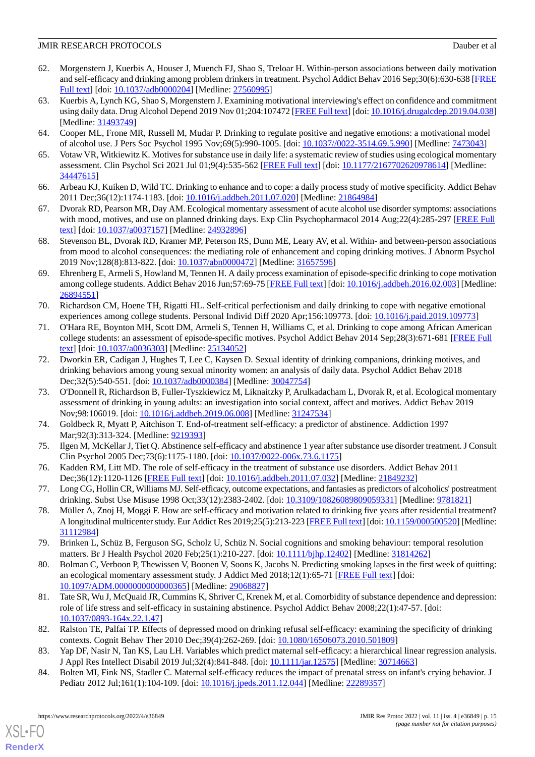- <span id="page-14-0"></span>62. Morgenstern J, Kuerbis A, Houser J, Muench FJ, Shao S, Treloar H. Within-person associations between daily motivation and self-efficacy and drinking among problem drinkers in treatment. Psychol Addict Behav 2016 Sep;30(6):630-638 [\[FREE](http://europepmc.org/abstract/MED/27560995) [Full text\]](http://europepmc.org/abstract/MED/27560995) [doi: [10.1037/adb0000204\]](http://dx.doi.org/10.1037/adb0000204) [Medline: [27560995\]](http://www.ncbi.nlm.nih.gov/entrez/query.fcgi?cmd=Retrieve&db=PubMed&list_uids=27560995&dopt=Abstract)
- <span id="page-14-1"></span>63. Kuerbis A, Lynch KG, Shao S, Morgenstern J. Examining motivational interviewing's effect on confidence and commitment using daily data. Drug Alcohol Depend 2019 Nov 01;204:107472 [\[FREE Full text](http://europepmc.org/abstract/MED/31493749)] [doi: [10.1016/j.drugalcdep.2019.04.038\]](http://dx.doi.org/10.1016/j.drugalcdep.2019.04.038) [Medline: [31493749](http://www.ncbi.nlm.nih.gov/entrez/query.fcgi?cmd=Retrieve&db=PubMed&list_uids=31493749&dopt=Abstract)]
- <span id="page-14-3"></span><span id="page-14-2"></span>64. Cooper ML, Frone MR, Russell M, Mudar P. Drinking to regulate positive and negative emotions: a motivational model of alcohol use. J Pers Soc Psychol 1995 Nov;69(5):990-1005. [doi: [10.1037//0022-3514.69.5.990\]](http://dx.doi.org/10.1037//0022-3514.69.5.990) [Medline: [7473043\]](http://www.ncbi.nlm.nih.gov/entrez/query.fcgi?cmd=Retrieve&db=PubMed&list_uids=7473043&dopt=Abstract)
- <span id="page-14-4"></span>65. Votaw VR, Witkiewitz K. Motives for substance use in daily life: a systematic review of studies using ecological momentary assessment. Clin Psychol Sci 2021 Jul 01;9(4):535-562 [\[FREE Full text\]](http://europepmc.org/abstract/MED/34447615) [doi: [10.1177/2167702620978614](http://dx.doi.org/10.1177/2167702620978614)] [Medline: [34447615](http://www.ncbi.nlm.nih.gov/entrez/query.fcgi?cmd=Retrieve&db=PubMed&list_uids=34447615&dopt=Abstract)]
- <span id="page-14-10"></span>66. Arbeau KJ, Kuiken D, Wild TC. Drinking to enhance and to cope: a daily process study of motive specificity. Addict Behav 2011 Dec;36(12):1174-1183. [doi: [10.1016/j.addbeh.2011.07.020](http://dx.doi.org/10.1016/j.addbeh.2011.07.020)] [Medline: [21864984\]](http://www.ncbi.nlm.nih.gov/entrez/query.fcgi?cmd=Retrieve&db=PubMed&list_uids=21864984&dopt=Abstract)
- <span id="page-14-5"></span>67. Dvorak RD, Pearson MR, Day AM. Ecological momentary assessment of acute alcohol use disorder symptoms: associations with mood, motives, and use on planned drinking days. Exp Clin Psychopharmacol 2014 Aug;22(4):285-297 [\[FREE Full](http://europepmc.org/abstract/MED/24932896) [text](http://europepmc.org/abstract/MED/24932896)] [doi: [10.1037/a0037157](http://dx.doi.org/10.1037/a0037157)] [Medline: [24932896](http://www.ncbi.nlm.nih.gov/entrez/query.fcgi?cmd=Retrieve&db=PubMed&list_uids=24932896&dopt=Abstract)]
- <span id="page-14-6"></span>68. Stevenson BL, Dvorak RD, Kramer MP, Peterson RS, Dunn ME, Leary AV, et al. Within- and between-person associations from mood to alcohol consequences: the mediating role of enhancement and coping drinking motives. J Abnorm Psychol 2019 Nov;128(8):813-822. [doi: [10.1037/abn0000472\]](http://dx.doi.org/10.1037/abn0000472) [Medline: [31657596](http://www.ncbi.nlm.nih.gov/entrez/query.fcgi?cmd=Retrieve&db=PubMed&list_uids=31657596&dopt=Abstract)]
- <span id="page-14-7"></span>69. Ehrenberg E, Armeli S, Howland M, Tennen H. A daily process examination of episode-specific drinking to cope motivation among college students. Addict Behav 2016 Jun; 57:69-75 [\[FREE Full text\]](http://europepmc.org/abstract/MED/26894551) [doi: [10.1016/j.addbeh.2016.02.003\]](http://dx.doi.org/10.1016/j.addbeh.2016.02.003) [Medline: [26894551](http://www.ncbi.nlm.nih.gov/entrez/query.fcgi?cmd=Retrieve&db=PubMed&list_uids=26894551&dopt=Abstract)]
- <span id="page-14-8"></span>70. Richardson CM, Hoene TH, Rigatti HL. Self-critical perfectionism and daily drinking to cope with negative emotional experiences among college students. Personal Individ Diff 2020 Apr;156:109773. [doi: [10.1016/j.paid.2019.109773\]](http://dx.doi.org/10.1016/j.paid.2019.109773)
- <span id="page-14-9"></span>71. O'Hara RE, Boynton MH, Scott DM, Armeli S, Tennen H, Williams C, et al. Drinking to cope among African American college students: an assessment of episode-specific motives. Psychol Addict Behav 2014 Sep;28(3):671-681 [[FREE Full](http://europepmc.org/abstract/MED/25134052) [text](http://europepmc.org/abstract/MED/25134052)] [doi: [10.1037/a0036303](http://dx.doi.org/10.1037/a0036303)] [Medline: [25134052](http://www.ncbi.nlm.nih.gov/entrez/query.fcgi?cmd=Retrieve&db=PubMed&list_uids=25134052&dopt=Abstract)]
- <span id="page-14-11"></span>72. Dworkin ER, Cadigan J, Hughes T, Lee C, Kaysen D. Sexual identity of drinking companions, drinking motives, and drinking behaviors among young sexual minority women: an analysis of daily data. Psychol Addict Behav 2018 Dec;32(5):540-551. [doi: [10.1037/adb0000384](http://dx.doi.org/10.1037/adb0000384)] [Medline: [30047754](http://www.ncbi.nlm.nih.gov/entrez/query.fcgi?cmd=Retrieve&db=PubMed&list_uids=30047754&dopt=Abstract)]
- <span id="page-14-12"></span>73. O'Donnell R, Richardson B, Fuller-Tyszkiewicz M, Liknaitzky P, Arulkadacham L, Dvorak R, et al. Ecological momentary assessment of drinking in young adults: an investigation into social context, affect and motives. Addict Behav 2019 Nov;98:106019. [doi: [10.1016/j.addbeh.2019.06.008\]](http://dx.doi.org/10.1016/j.addbeh.2019.06.008) [Medline: [31247534](http://www.ncbi.nlm.nih.gov/entrez/query.fcgi?cmd=Retrieve&db=PubMed&list_uids=31247534&dopt=Abstract)]
- 74. Goldbeck R, Myatt P, Aitchison T. End-of-treatment self-efficacy: a predictor of abstinence. Addiction 1997 Mar; 92(3): 313-324. [Medline: [9219393\]](http://www.ncbi.nlm.nih.gov/entrez/query.fcgi?cmd=Retrieve&db=PubMed&list_uids=9219393&dopt=Abstract)
- 75. Ilgen M, McKellar J, Tiet Q. Abstinence self-efficacy and abstinence 1 year after substance use disorder treatment. J Consult Clin Psychol 2005 Dec;73(6):1175-1180. [doi: [10.1037/0022-006x.73.6.1175](http://dx.doi.org/10.1037/0022-006x.73.6.1175)]
- <span id="page-14-13"></span>76. Kadden RM, Litt MD. The role of self-efficacy in the treatment of substance use disorders. Addict Behav 2011 Dec;36(12):1120-1126 [\[FREE Full text](http://europepmc.org/abstract/MED/21849232)] [doi: [10.1016/j.addbeh.2011.07.032\]](http://dx.doi.org/10.1016/j.addbeh.2011.07.032) [Medline: [21849232](http://www.ncbi.nlm.nih.gov/entrez/query.fcgi?cmd=Retrieve&db=PubMed&list_uids=21849232&dopt=Abstract)]
- <span id="page-14-14"></span>77. Long CG, Hollin CR, Williams MJ. Self-efficacy, outcome expectations, and fantasies as predictors of alcoholics' postreatment drinking. Subst Use Misuse 1998 Oct;33(12):2383-2402. [doi: [10.3109/10826089809059331\]](http://dx.doi.org/10.3109/10826089809059331) [Medline: [9781821\]](http://www.ncbi.nlm.nih.gov/entrez/query.fcgi?cmd=Retrieve&db=PubMed&list_uids=9781821&dopt=Abstract)
- <span id="page-14-15"></span>78. Müller A, Znoj H, Moggi F. How are self-efficacy and motivation related to drinking five years after residential treatment? A longitudinal multicenter study. Eur Addict Res 2019;25(5):213-223 [\[FREE Full text](https://www.karger.com?DOI=10.1159/000500520)] [doi: [10.1159/000500520](http://dx.doi.org/10.1159/000500520)] [Medline: [31112984](http://www.ncbi.nlm.nih.gov/entrez/query.fcgi?cmd=Retrieve&db=PubMed&list_uids=31112984&dopt=Abstract)]
- <span id="page-14-16"></span>79. Brinken L, Schüz B, Ferguson SG, Scholz U, Schüz N. Social cognitions and smoking behaviour: temporal resolution matters. Br J Health Psychol 2020 Feb; 25(1): 210-227. [doi: [10.1111/bjhp.12402](http://dx.doi.org/10.1111/bjhp.12402)] [Medline: [31814262\]](http://www.ncbi.nlm.nih.gov/entrez/query.fcgi?cmd=Retrieve&db=PubMed&list_uids=31814262&dopt=Abstract)
- <span id="page-14-17"></span>80. Bolman C, Verboon P, Thewissen V, Boonen V, Soons K, Jacobs N. Predicting smoking lapses in the first week of quitting: an ecological momentary assessment study. J Addict Med 2018;12(1):65-71 [\[FREE Full text\]](http://europepmc.org/abstract/MED/29068827) [doi: [10.1097/ADM.0000000000000365\]](http://dx.doi.org/10.1097/ADM.0000000000000365) [Medline: [29068827](http://www.ncbi.nlm.nih.gov/entrez/query.fcgi?cmd=Retrieve&db=PubMed&list_uids=29068827&dopt=Abstract)]
- <span id="page-14-18"></span>81. Tate SR, Wu J, McQuaid JR, Cummins K, Shriver C, Krenek M, et al. Comorbidity of substance dependence and depression: role of life stress and self-efficacy in sustaining abstinence. Psychol Addict Behav 2008;22(1):47-57. [doi: [10.1037/0893-164x.22.1.47\]](http://dx.doi.org/10.1037/0893-164x.22.1.47)
- 82. Ralston TE, Palfai TP. Effects of depressed mood on drinking refusal self-efficacy: examining the specificity of drinking contexts. Cognit Behav Ther 2010 Dec;39(4):262-269. [doi: [10.1080/16506073.2010.501809\]](http://dx.doi.org/10.1080/16506073.2010.501809)
- 83. Yap DF, Nasir N, Tan KS, Lau LH. Variables which predict maternal self-efficacy: a hierarchical linear regression analysis. J Appl Res Intellect Disabil 2019 Jul;32(4):841-848. [doi: [10.1111/jar.12575\]](http://dx.doi.org/10.1111/jar.12575) [Medline: [30714663](http://www.ncbi.nlm.nih.gov/entrez/query.fcgi?cmd=Retrieve&db=PubMed&list_uids=30714663&dopt=Abstract)]
- 84. Bolten MI, Fink NS, Stadler C. Maternal self-efficacy reduces the impact of prenatal stress on infant's crying behavior. J Pediatr 2012 Jul;161(1):104-109. [doi: [10.1016/j.jpeds.2011.12.044\]](http://dx.doi.org/10.1016/j.jpeds.2011.12.044) [Medline: [22289357](http://www.ncbi.nlm.nih.gov/entrez/query.fcgi?cmd=Retrieve&db=PubMed&list_uids=22289357&dopt=Abstract)]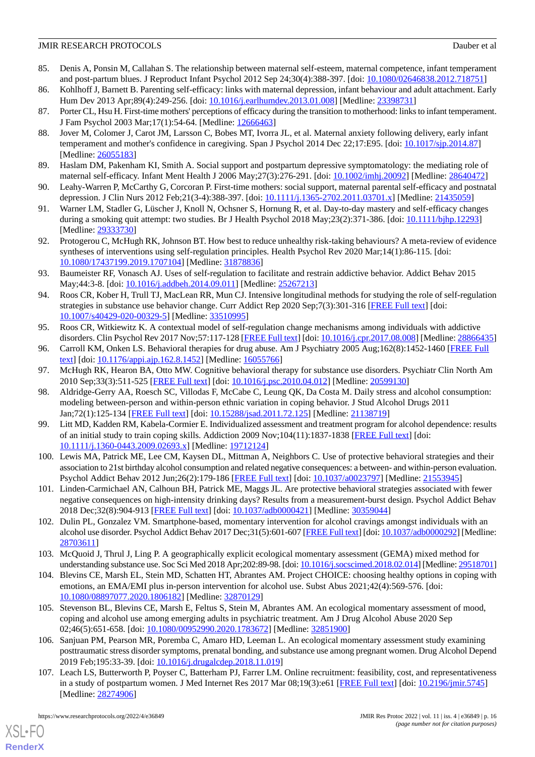- <span id="page-15-0"></span>85. Denis A, Ponsin M, Callahan S. The relationship between maternal self-esteem, maternal competence, infant temperament and post-partum blues. J Reproduct Infant Psychol 2012 Sep 24;30(4):388-397. [doi: [10.1080/02646838.2012.718751\]](http://dx.doi.org/10.1080/02646838.2012.718751)
- <span id="page-15-2"></span><span id="page-15-1"></span>86. Kohlhoff J, Barnett B. Parenting self-efficacy: links with maternal depression, infant behaviour and adult attachment. Early Hum Dev 2013 Apr;89(4):249-256. [doi: [10.1016/j.earlhumdev.2013.01.008](http://dx.doi.org/10.1016/j.earlhumdev.2013.01.008)] [Medline: [23398731](http://www.ncbi.nlm.nih.gov/entrez/query.fcgi?cmd=Retrieve&db=PubMed&list_uids=23398731&dopt=Abstract)]
- <span id="page-15-3"></span>87. Porter CL, Hsu H. First-time mothers' perceptions of efficacy during the transition to motherhood: links to infant temperament. J Fam Psychol 2003 Mar;17(1):54-64. [Medline: [12666463\]](http://www.ncbi.nlm.nih.gov/entrez/query.fcgi?cmd=Retrieve&db=PubMed&list_uids=12666463&dopt=Abstract)
- 88. Jover M, Colomer J, Carot JM, Larsson C, Bobes MT, Ivorra JL, et al. Maternal anxiety following delivery, early infant temperament and mother's confidence in caregiving. Span J Psychol 2014 Dec 22;17:E95. [doi: [10.1017/sjp.2014.87](http://dx.doi.org/10.1017/sjp.2014.87)] [Medline: [26055183](http://www.ncbi.nlm.nih.gov/entrez/query.fcgi?cmd=Retrieve&db=PubMed&list_uids=26055183&dopt=Abstract)]
- <span id="page-15-4"></span>89. Haslam DM, Pakenham KI, Smith A. Social support and postpartum depressive symptomatology: the mediating role of maternal self-efficacy. Infant Ment Health J 2006 May;27(3):276-291. [doi: [10.1002/imhj.20092](http://dx.doi.org/10.1002/imhj.20092)] [Medline: [28640472\]](http://www.ncbi.nlm.nih.gov/entrez/query.fcgi?cmd=Retrieve&db=PubMed&list_uids=28640472&dopt=Abstract)
- <span id="page-15-5"></span>90. Leahy-Warren P, McCarthy G, Corcoran P. First-time mothers: social support, maternal parental self-efficacy and postnatal depression. J Clin Nurs 2012 Feb;21(3-4):388-397. [doi: [10.1111/j.1365-2702.2011.03701.x](http://dx.doi.org/10.1111/j.1365-2702.2011.03701.x)] [Medline: [21435059](http://www.ncbi.nlm.nih.gov/entrez/query.fcgi?cmd=Retrieve&db=PubMed&list_uids=21435059&dopt=Abstract)]
- <span id="page-15-6"></span>91. Warner LM, Stadler G, Lüscher J, Knoll N, Ochsner S, Hornung R, et al. Day-to-day mastery and self-efficacy changes during a smoking quit attempt: two studies. Br J Health Psychol 2018 May;23(2):371-386. [doi: [10.1111/bjhp.12293](http://dx.doi.org/10.1111/bjhp.12293)] [Medline: [29333730](http://www.ncbi.nlm.nih.gov/entrez/query.fcgi?cmd=Retrieve&db=PubMed&list_uids=29333730&dopt=Abstract)]
- <span id="page-15-7"></span>92. Protogerou C, McHugh RK, Johnson BT. How best to reduce unhealthy risk-taking behaviours? A meta-review of evidence syntheses of interventions using self-regulation principles. Health Psychol Rev 2020 Mar;14(1):86-115. [doi: [10.1080/17437199.2019.1707104\]](http://dx.doi.org/10.1080/17437199.2019.1707104) [Medline: [31878836\]](http://www.ncbi.nlm.nih.gov/entrez/query.fcgi?cmd=Retrieve&db=PubMed&list_uids=31878836&dopt=Abstract)
- <span id="page-15-8"></span>93. Baumeister RF, Vonasch AJ. Uses of self-regulation to facilitate and restrain addictive behavior. Addict Behav 2015 May;44:3-8. [doi: [10.1016/j.addbeh.2014.09.011](http://dx.doi.org/10.1016/j.addbeh.2014.09.011)] [Medline: [25267213\]](http://www.ncbi.nlm.nih.gov/entrez/query.fcgi?cmd=Retrieve&db=PubMed&list_uids=25267213&dopt=Abstract)
- <span id="page-15-9"></span>94. Roos CR, Kober H, Trull TJ, MacLean RR, Mun CJ. Intensive longitudinal methods for studying the role of self-regulation strategies in substance use behavior change. Curr Addict Rep 2020 Sep;7(3):301-316 [[FREE Full text](http://europepmc.org/abstract/MED/33510995)] [doi: [10.1007/s40429-020-00329-5\]](http://dx.doi.org/10.1007/s40429-020-00329-5) [Medline: [33510995\]](http://www.ncbi.nlm.nih.gov/entrez/query.fcgi?cmd=Retrieve&db=PubMed&list_uids=33510995&dopt=Abstract)
- <span id="page-15-11"></span><span id="page-15-10"></span>95. Roos CR, Witkiewitz K. A contextual model of self-regulation change mechanisms among individuals with addictive disorders. Clin Psychol Rev 2017 Nov;57:117-128 [[FREE Full text](http://europepmc.org/abstract/MED/28866435)] [doi: [10.1016/j.cpr.2017.08.008\]](http://dx.doi.org/10.1016/j.cpr.2017.08.008) [Medline: [28866435](http://www.ncbi.nlm.nih.gov/entrez/query.fcgi?cmd=Retrieve&db=PubMed&list_uids=28866435&dopt=Abstract)]
- <span id="page-15-12"></span>96. Carroll KM, Onken LS. Behavioral therapies for drug abuse. Am J Psychiatry 2005 Aug;162(8):1452-1460 [\[FREE Full](http://europepmc.org/abstract/MED/16055766) [text](http://europepmc.org/abstract/MED/16055766)] [doi: [10.1176/appi.ajp.162.8.1452](http://dx.doi.org/10.1176/appi.ajp.162.8.1452)] [Medline: [16055766](http://www.ncbi.nlm.nih.gov/entrez/query.fcgi?cmd=Retrieve&db=PubMed&list_uids=16055766&dopt=Abstract)]
- 97. McHugh RK, Hearon BA, Otto MW. Cognitive behavioral therapy for substance use disorders. Psychiatr Clin North Am 2010 Sep;33(3):511-525 [\[FREE Full text\]](http://europepmc.org/abstract/MED/20599130) [doi: [10.1016/j.psc.2010.04.012](http://dx.doi.org/10.1016/j.psc.2010.04.012)] [Medline: [20599130](http://www.ncbi.nlm.nih.gov/entrez/query.fcgi?cmd=Retrieve&db=PubMed&list_uids=20599130&dopt=Abstract)]
- <span id="page-15-13"></span>98. Aldridge-Gerry AA, Roesch SC, Villodas F, McCabe C, Leung QK, Da Costa M. Daily stress and alcohol consumption: modeling between-person and within-person ethnic variation in coping behavior. J Stud Alcohol Drugs 2011 Jan;72(1):125-134 [\[FREE Full text\]](http://europepmc.org/abstract/MED/21138719) [doi: [10.15288/jsad.2011.72.125\]](http://dx.doi.org/10.15288/jsad.2011.72.125) [Medline: [21138719](http://www.ncbi.nlm.nih.gov/entrez/query.fcgi?cmd=Retrieve&db=PubMed&list_uids=21138719&dopt=Abstract)]
- <span id="page-15-14"></span>99. Litt MD, Kadden RM, Kabela-Cormier E. Individualized assessment and treatment program for alcohol dependence: results of an initial study to train coping skills. Addiction 2009 Nov;104(11):1837-1838 [[FREE Full text](http://europepmc.org/abstract/MED/19712124)] [doi: [10.1111/j.1360-0443.2009.02693.x\]](http://dx.doi.org/10.1111/j.1360-0443.2009.02693.x) [Medline: [19712124\]](http://www.ncbi.nlm.nih.gov/entrez/query.fcgi?cmd=Retrieve&db=PubMed&list_uids=19712124&dopt=Abstract)
- <span id="page-15-16"></span><span id="page-15-15"></span>100. Lewis MA, Patrick ME, Lee CM, Kaysen DL, Mittman A, Neighbors C. Use of protective behavioral strategies and their association to 21st birthday alcohol consumption and related negative consequences: a between- and within-person evaluation. Psychol Addict Behav 2012 Jun;26(2):179-186 [\[FREE Full text\]](http://europepmc.org/abstract/MED/21553945) [doi: [10.1037/a0023797](http://dx.doi.org/10.1037/a0023797)] [Medline: [21553945](http://www.ncbi.nlm.nih.gov/entrez/query.fcgi?cmd=Retrieve&db=PubMed&list_uids=21553945&dopt=Abstract)]
- <span id="page-15-17"></span>101. Linden-Carmichael AN, Calhoun BH, Patrick ME, Maggs JL. Are protective behavioral strategies associated with fewer negative consequences on high-intensity drinking days? Results from a measurement-burst design. Psychol Addict Behav 2018 Dec;32(8):904-913 [[FREE Full text\]](http://europepmc.org/abstract/MED/30359044) [doi: [10.1037/adb0000421\]](http://dx.doi.org/10.1037/adb0000421) [Medline: [30359044\]](http://www.ncbi.nlm.nih.gov/entrez/query.fcgi?cmd=Retrieve&db=PubMed&list_uids=30359044&dopt=Abstract)
- 102. Dulin PL, Gonzalez VM. Smartphone-based, momentary intervention for alcohol cravings amongst individuals with an alcohol use disorder. Psychol Addict Behav 2017 Dec;31(5):601-607 [\[FREE Full text](https://doi.org/10.1037/adb0000292)] [doi: [10.1037/adb0000292\]](http://dx.doi.org/10.1037/adb0000292) [Medline: [28703611](http://www.ncbi.nlm.nih.gov/entrez/query.fcgi?cmd=Retrieve&db=PubMed&list_uids=28703611&dopt=Abstract)]
- <span id="page-15-18"></span>103. McQuoid J, Thrul J, Ling P. A geographically explicit ecological momentary assessment (GEMA) mixed method for understanding substance use. Soc Sci Med 2018 Apr;202:89-98. [doi: [10.1016/j.socscimed.2018.02.014](http://dx.doi.org/10.1016/j.socscimed.2018.02.014)] [Medline: [29518701\]](http://www.ncbi.nlm.nih.gov/entrez/query.fcgi?cmd=Retrieve&db=PubMed&list_uids=29518701&dopt=Abstract)
- <span id="page-15-19"></span>104. Blevins CE, Marsh EL, Stein MD, Schatten HT, Abrantes AM. Project CHOICE: choosing healthy options in coping with emotions, an EMA/EMI plus in-person intervention for alcohol use. Subst Abus 2021;42(4):569-576. [doi: [10.1080/08897077.2020.1806182\]](http://dx.doi.org/10.1080/08897077.2020.1806182) [Medline: [32870129\]](http://www.ncbi.nlm.nih.gov/entrez/query.fcgi?cmd=Retrieve&db=PubMed&list_uids=32870129&dopt=Abstract)
- <span id="page-15-20"></span>105. Stevenson BL, Blevins CE, Marsh E, Feltus S, Stein M, Abrantes AM. An ecological momentary assessment of mood, coping and alcohol use among emerging adults in psychiatric treatment. Am J Drug Alcohol Abuse 2020 Sep 02;46(5):651-658. [doi: [10.1080/00952990.2020.1783672\]](http://dx.doi.org/10.1080/00952990.2020.1783672) [Medline: [32851900](http://www.ncbi.nlm.nih.gov/entrez/query.fcgi?cmd=Retrieve&db=PubMed&list_uids=32851900&dopt=Abstract)]
- 106. Sanjuan PM, Pearson MR, Poremba C, Amaro HD, Leeman L. An ecological momentary assessment study examining posttraumatic stress disorder symptoms, prenatal bonding, and substance use among pregnant women. Drug Alcohol Depend 2019 Feb;195:33-39. [doi: [10.1016/j.drugalcdep.2018.11.019\]](http://dx.doi.org/10.1016/j.drugalcdep.2018.11.019)
- 107. Leach LS, Butterworth P, Poyser C, Batterham PJ, Farrer LM. Online recruitment: feasibility, cost, and representativeness in a study of postpartum women. J Med Internet Res 2017 Mar 08;19(3):e61 [\[FREE Full text](http://www.jmir.org/2017/3/e61/)] [doi: [10.2196/jmir.5745\]](http://dx.doi.org/10.2196/jmir.5745) [Medline: [28274906](http://www.ncbi.nlm.nih.gov/entrez/query.fcgi?cmd=Retrieve&db=PubMed&list_uids=28274906&dopt=Abstract)]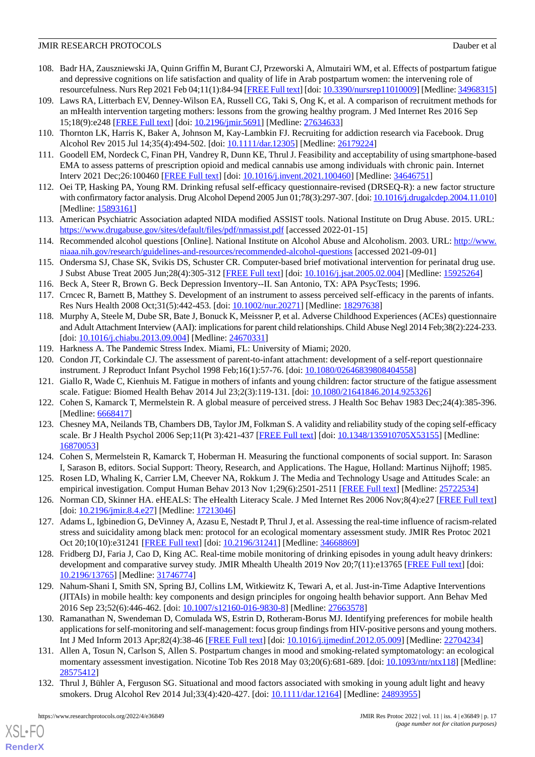- 108. Badr HA, Zauszniewski JA, Quinn Griffin M, Burant CJ, Przeworski A, Almutairi WM, et al. Effects of postpartum fatigue and depressive cognitions on life satisfaction and quality of life in Arab postpartum women: the intervening role of resourcefulness. Nurs Rep 2021 Feb 04;11(1):84-94 [\[FREE Full text\]](https://www.mdpi.com/resolver?pii=nursrep11010009) [doi: [10.3390/nursrep11010009\]](http://dx.doi.org/10.3390/nursrep11010009) [Medline: [34968315\]](http://www.ncbi.nlm.nih.gov/entrez/query.fcgi?cmd=Retrieve&db=PubMed&list_uids=34968315&dopt=Abstract)
- <span id="page-16-0"></span>109. Laws RA, Litterbach EV, Denney-Wilson EA, Russell CG, Taki S, Ong K, et al. A comparison of recruitment methods for an mHealth intervention targeting mothers: lessons from the growing healthy program. J Med Internet Res 2016 Sep 15;18(9):e248 [\[FREE Full text](http://www.jmir.org/2016/9/e248/)] [doi: [10.2196/jmir.5691](http://dx.doi.org/10.2196/jmir.5691)] [Medline: [27634633](http://www.ncbi.nlm.nih.gov/entrez/query.fcgi?cmd=Retrieve&db=PubMed&list_uids=27634633&dopt=Abstract)]
- <span id="page-16-2"></span><span id="page-16-1"></span>110. Thornton LK, Harris K, Baker A, Johnson M, Kay-Lambkin FJ. Recruiting for addiction research via Facebook. Drug Alcohol Rev 2015 Jul 14;35(4):494-502. [doi: [10.1111/dar.12305](http://dx.doi.org/10.1111/dar.12305)] [Medline: [26179224\]](http://www.ncbi.nlm.nih.gov/entrez/query.fcgi?cmd=Retrieve&db=PubMed&list_uids=26179224&dopt=Abstract)
- <span id="page-16-3"></span>111. Goodell EM, Nordeck C, Finan PH, Vandrey R, Dunn KE, Thrul J. Feasibility and acceptability of using smartphone-based EMA to assess patterns of prescription opioid and medical cannabis use among individuals with chronic pain. Internet Interv 2021 Dec;26:100460 [[FREE Full text](https://linkinghub.elsevier.com/retrieve/pii/S2214-7829(21)00100-7)] [doi: [10.1016/j.invent.2021.100460](http://dx.doi.org/10.1016/j.invent.2021.100460)] [Medline: [34646751](http://www.ncbi.nlm.nih.gov/entrez/query.fcgi?cmd=Retrieve&db=PubMed&list_uids=34646751&dopt=Abstract)]
- <span id="page-16-4"></span>112. Oei TP, Hasking PA, Young RM. Drinking refusal self-efficacy questionnaire-revised (DRSEQ-R): a new factor structure with confirmatory factor analysis. Drug Alcohol Depend 2005 Jun 01;78(3):297-307. [doi: [10.1016/j.drugalcdep.2004.11.010\]](http://dx.doi.org/10.1016/j.drugalcdep.2004.11.010) [Medline: [15893161](http://www.ncbi.nlm.nih.gov/entrez/query.fcgi?cmd=Retrieve&db=PubMed&list_uids=15893161&dopt=Abstract)]
- <span id="page-16-5"></span>113. American Psychiatric Association adapted NIDA modified ASSIST tools. National Institute on Drug Abuse. 2015. URL: <https://www.drugabuse.gov/sites/default/files/pdf/nmassist.pdf> [accessed 2022-01-15]
- <span id="page-16-6"></span>114. Recommended alcohol questions [Online]. National Institute on Alcohol Abuse and Alcoholism. 2003. URL: [http://www.](http://www.niaaa.nih.gov/research/guidelines-and-resources/recommended-alcohol-questions) [niaaa.nih.gov/research/guidelines-and-resources/recommended-alcohol-questions](http://www.niaaa.nih.gov/research/guidelines-and-resources/recommended-alcohol-questions) [accessed 2021-09-01]
- <span id="page-16-8"></span><span id="page-16-7"></span>115. Ondersma SJ, Chase SK, Svikis DS, Schuster CR. Computer-based brief motivational intervention for perinatal drug use. J Subst Abuse Treat 2005 Jun;28(4):305-312 [[FREE Full text\]](http://europepmc.org/abstract/MED/15925264) [doi: [10.1016/j.jsat.2005.02.004](http://dx.doi.org/10.1016/j.jsat.2005.02.004)] [Medline: [15925264\]](http://www.ncbi.nlm.nih.gov/entrez/query.fcgi?cmd=Retrieve&db=PubMed&list_uids=15925264&dopt=Abstract)
- <span id="page-16-9"></span>116. Beck A, Steer R, Brown G. Beck Depression Inventory--II. San Antonio, TX: APA PsycTests; 1996.
- 117. Crncec R, Barnett B, Matthey S. Development of an instrument to assess perceived self-efficacy in the parents of infants. Res Nurs Health 2008 Oct;31(5):442-453. [doi: [10.1002/nur.20271\]](http://dx.doi.org/10.1002/nur.20271) [Medline: [18297638](http://www.ncbi.nlm.nih.gov/entrez/query.fcgi?cmd=Retrieve&db=PubMed&list_uids=18297638&dopt=Abstract)]
- <span id="page-16-11"></span><span id="page-16-10"></span>118. Murphy A, Steele M, Dube SR, Bate J, Bonuck K, Meissner P, et al. Adverse Childhood Experiences (ACEs) questionnaire and Adult Attachment Interview (AAI): implications for parent child relationships. Child Abuse Negl 2014 Feb;38(2):224-233. [doi: [10.1016/j.chiabu.2013.09.004](http://dx.doi.org/10.1016/j.chiabu.2013.09.004)] [Medline: [24670331](http://www.ncbi.nlm.nih.gov/entrez/query.fcgi?cmd=Retrieve&db=PubMed&list_uids=24670331&dopt=Abstract)]
- <span id="page-16-12"></span>119. Harkness A. The Pandemic Stress Index. Miami, FL: University of Miami; 2020.
- <span id="page-16-13"></span>120. Condon JT, Corkindale CJ. The assessment of parent-to-infant attachment: development of a self-report questionnaire instrument. J Reproduct Infant Psychol 1998 Feb;16(1):57-76. [doi: [10.1080/02646839808404558](http://dx.doi.org/10.1080/02646839808404558)]
- <span id="page-16-14"></span>121. Giallo R, Wade C, Kienhuis M. Fatigue in mothers of infants and young children: factor structure of the fatigue assessment scale. Fatigue: Biomed Health Behav 2014 Jul 23;2(3):119-131. [doi: [10.1080/21641846.2014.925326\]](http://dx.doi.org/10.1080/21641846.2014.925326)
- <span id="page-16-15"></span>122. Cohen S, Kamarck T, Mermelstein R. A global measure of perceived stress. J Health Soc Behav 1983 Dec;24(4):385-396. [Medline: [6668417\]](http://www.ncbi.nlm.nih.gov/entrez/query.fcgi?cmd=Retrieve&db=PubMed&list_uids=6668417&dopt=Abstract)
- <span id="page-16-16"></span>123. Chesney MA, Neilands TB, Chambers DB, Taylor JM, Folkman S. A validity and reliability study of the coping self-efficacy scale. Br J Health Psychol 2006 Sep;11(Pt 3):421-437 [\[FREE Full text\]](http://europepmc.org/abstract/MED/16870053) [doi: [10.1348/135910705X53155\]](http://dx.doi.org/10.1348/135910705X53155) [Medline: [16870053](http://www.ncbi.nlm.nih.gov/entrez/query.fcgi?cmd=Retrieve&db=PubMed&list_uids=16870053&dopt=Abstract)]
- <span id="page-16-17"></span>124. Cohen S, Mermelstein R, Kamarck T, Hoberman H. Measuring the functional components of social support. In: Sarason I, Sarason B, editors. Social Support: Theory, Research, and Applications. The Hague, Holland: Martinus Nijhoff; 1985.
- <span id="page-16-18"></span>125. Rosen LD, Whaling K, Carrier LM, Cheever NA, Rokkum J. The Media and Technology Usage and Attitudes Scale: an empirical investigation. Comput Human Behav 2013 Nov 1;29(6):2501-2511 [[FREE Full text](http://europepmc.org/abstract/MED/25722534)] [Medline: [25722534](http://www.ncbi.nlm.nih.gov/entrez/query.fcgi?cmd=Retrieve&db=PubMed&list_uids=25722534&dopt=Abstract)]
- <span id="page-16-19"></span>126. Norman CD, Skinner HA. eHEALS: The eHealth Literacy Scale. J Med Internet Res 2006 Nov;8(4):e27 [\[FREE Full text](http://www.jmir.org/2006/4/e27/)] [doi: [10.2196/jmir.8.4.e27](http://dx.doi.org/10.2196/jmir.8.4.e27)] [Medline: [17213046](http://www.ncbi.nlm.nih.gov/entrez/query.fcgi?cmd=Retrieve&db=PubMed&list_uids=17213046&dopt=Abstract)]
- <span id="page-16-20"></span>127. Adams L, Igbinedion G, DeVinney A, Azasu E, Nestadt P, Thrul J, et al. Assessing the real-time influence of racism-related stress and suicidality among black men: protocol for an ecological momentary assessment study. JMIR Res Protoc 2021 Oct 20;10(10):e31241 [[FREE Full text](https://www.researchprotocols.org/2021/10/e31241/)] [doi: [10.2196/31241\]](http://dx.doi.org/10.2196/31241) [Medline: [34668869\]](http://www.ncbi.nlm.nih.gov/entrez/query.fcgi?cmd=Retrieve&db=PubMed&list_uids=34668869&dopt=Abstract)
- <span id="page-16-21"></span>128. Fridberg DJ, Faria J, Cao D, King AC. Real-time mobile monitoring of drinking episodes in young adult heavy drinkers: development and comparative survey study. JMIR Mhealth Uhealth 2019 Nov 20;7(11):e13765 [[FREE Full text\]](https://mhealth.jmir.org/2019/11/e13765/) [doi: [10.2196/13765\]](http://dx.doi.org/10.2196/13765) [Medline: [31746774\]](http://www.ncbi.nlm.nih.gov/entrez/query.fcgi?cmd=Retrieve&db=PubMed&list_uids=31746774&dopt=Abstract)
- <span id="page-16-22"></span>129. Nahum-Shani I, Smith SN, Spring BJ, Collins LM, Witkiewitz K, Tewari A, et al. Just-in-Time Adaptive Interventions (JITAIs) in mobile health: key components and design principles for ongoing health behavior support. Ann Behav Med 2016 Sep 23;52(6):446-462. [doi: [10.1007/s12160-016-9830-8\]](http://dx.doi.org/10.1007/s12160-016-9830-8) [Medline: [27663578](http://www.ncbi.nlm.nih.gov/entrez/query.fcgi?cmd=Retrieve&db=PubMed&list_uids=27663578&dopt=Abstract)]
- <span id="page-16-23"></span>130. Ramanathan N, Swendeman D, Comulada WS, Estrin D, Rotheram-Borus MJ. Identifying preferences for mobile health applications for self-monitoring and self-management: focus group findings from HIV-positive persons and young mothers. Int J Med Inform 2013 Apr;82(4):38-46 [\[FREE Full text](http://europepmc.org/abstract/MED/22704234)] [doi: [10.1016/j.ijmedinf.2012.05.009\]](http://dx.doi.org/10.1016/j.ijmedinf.2012.05.009) [Medline: [22704234](http://www.ncbi.nlm.nih.gov/entrez/query.fcgi?cmd=Retrieve&db=PubMed&list_uids=22704234&dopt=Abstract)]
- 131. Allen A, Tosun N, Carlson S, Allen S. Postpartum changes in mood and smoking-related symptomatology: an ecological momentary assessment investigation. Nicotine Tob Res 2018 May 03;20(6):681-689. [doi: [10.1093/ntr/ntx118](http://dx.doi.org/10.1093/ntr/ntx118)] [Medline: [28575412](http://www.ncbi.nlm.nih.gov/entrez/query.fcgi?cmd=Retrieve&db=PubMed&list_uids=28575412&dopt=Abstract)]
- 132. Thrul J, Bühler A, Ferguson SG. Situational and mood factors associated with smoking in young adult light and heavy smokers. Drug Alcohol Rev 2014 Jul;33(4):420-427. [doi: [10.1111/dar.12164\]](http://dx.doi.org/10.1111/dar.12164) [Medline: [24893955\]](http://www.ncbi.nlm.nih.gov/entrez/query.fcgi?cmd=Retrieve&db=PubMed&list_uids=24893955&dopt=Abstract)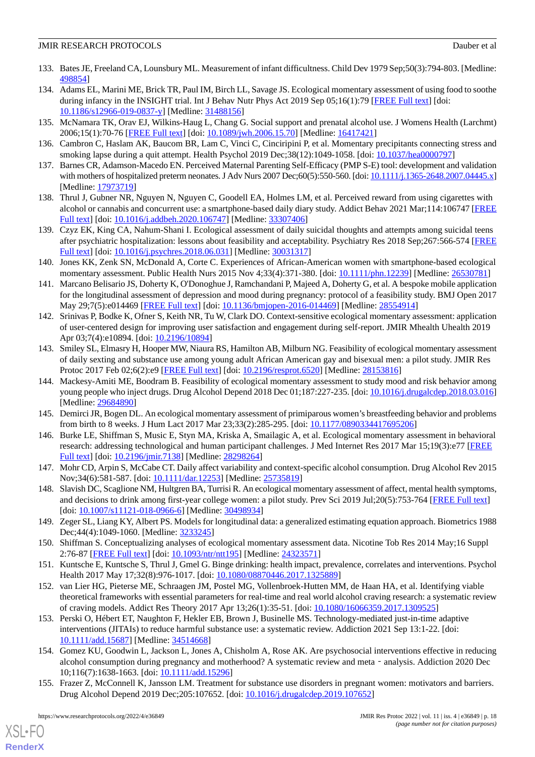- <span id="page-17-0"></span>133. Bates JE, Freeland CA, Lounsbury ML. Measurement of infant difficultness. Child Dev 1979 Sep;50(3):794-803. [Medline: [498854](http://www.ncbi.nlm.nih.gov/entrez/query.fcgi?cmd=Retrieve&db=PubMed&list_uids=498854&dopt=Abstract)]
- <span id="page-17-1"></span>134. Adams EL, Marini ME, Brick TR, Paul IM, Birch LL, Savage JS. Ecological momentary assessment of using food to soothe during infancy in the INSIGHT trial. Int J Behav Nutr Phys Act 2019 Sep 05;16(1):79 [\[FREE Full text\]](https://ijbnpa.biomedcentral.com/articles/10.1186/s12966-019-0837-y) [doi: [10.1186/s12966-019-0837-y\]](http://dx.doi.org/10.1186/s12966-019-0837-y) [Medline: [31488156](http://www.ncbi.nlm.nih.gov/entrez/query.fcgi?cmd=Retrieve&db=PubMed&list_uids=31488156&dopt=Abstract)]
- <span id="page-17-3"></span><span id="page-17-2"></span>135. McNamara TK, Orav EJ, Wilkins-Haug L, Chang G. Social support and prenatal alcohol use. J Womens Health (Larchmt) 2006;15(1):70-76 [[FREE Full text](http://europepmc.org/abstract/MED/16417421)] [doi: [10.1089/jwh.2006.15.70](http://dx.doi.org/10.1089/jwh.2006.15.70)] [Medline: [16417421](http://www.ncbi.nlm.nih.gov/entrez/query.fcgi?cmd=Retrieve&db=PubMed&list_uids=16417421&dopt=Abstract)]
- <span id="page-17-4"></span>136. Cambron C, Haslam AK, Baucom BR, Lam C, Vinci C, Cinciripini P, et al. Momentary precipitants connecting stress and smoking lapse during a quit attempt. Health Psychol 2019 Dec;38(12):1049-1058. [doi: [10.1037/hea0000797](http://dx.doi.org/10.1037/hea0000797)]
- <span id="page-17-5"></span>137. Barnes CR, Adamson-Macedo EN. Perceived Maternal Parenting Self-Efficacy (PMP S-E) tool: development and validation with mothers of hospitalized preterm neonates. J Adv Nurs 2007 Dec;60(5):550-560. [doi: [10.1111/j.1365-2648.2007.04445.x\]](http://dx.doi.org/10.1111/j.1365-2648.2007.04445.x) [Medline: [17973719](http://www.ncbi.nlm.nih.gov/entrez/query.fcgi?cmd=Retrieve&db=PubMed&list_uids=17973719&dopt=Abstract)]
- <span id="page-17-6"></span>138. Thrul J, Gubner NR, Nguyen N, Nguyen C, Goodell EA, Holmes LM, et al. Perceived reward from using cigarettes with alcohol or cannabis and concurrent use: a smartphone-based daily diary study. Addict Behav 2021 Mar;114:106747 [\[FREE](http://europepmc.org/abstract/MED/33307406) [Full text\]](http://europepmc.org/abstract/MED/33307406) [doi: [10.1016/j.addbeh.2020.106747\]](http://dx.doi.org/10.1016/j.addbeh.2020.106747) [Medline: [33307406](http://www.ncbi.nlm.nih.gov/entrez/query.fcgi?cmd=Retrieve&db=PubMed&list_uids=33307406&dopt=Abstract)]
- <span id="page-17-8"></span>139. Czyz EK, King CA, Nahum-Shani I. Ecological assessment of daily suicidal thoughts and attempts among suicidal teens after psychiatric hospitalization: lessons about feasibility and acceptability. Psychiatry Res 2018 Sep;267:566-574 [\[FREE](http://europepmc.org/abstract/MED/30031317) [Full text\]](http://europepmc.org/abstract/MED/30031317) [doi: [10.1016/j.psychres.2018.06.031](http://dx.doi.org/10.1016/j.psychres.2018.06.031)] [Medline: [30031317](http://www.ncbi.nlm.nih.gov/entrez/query.fcgi?cmd=Retrieve&db=PubMed&list_uids=30031317&dopt=Abstract)]
- 140. Jones KK, Zenk SN, McDonald A, Corte C. Experiences of African-American women with smartphone-based ecological momentary assessment. Public Health Nurs 2015 Nov 4;33(4):371-380. [doi: [10.1111/phn.12239\]](http://dx.doi.org/10.1111/phn.12239) [Medline: [26530781\]](http://www.ncbi.nlm.nih.gov/entrez/query.fcgi?cmd=Retrieve&db=PubMed&list_uids=26530781&dopt=Abstract)
- <span id="page-17-7"></span>141. Marcano Belisario JS, Doherty K, O'Donoghue J, Ramchandani P, Majeed A, Doherty G, et al. A bespoke mobile application for the longitudinal assessment of depression and mood during pregnancy: protocol of a feasibility study. BMJ Open 2017 May 29;7(5):e014469 [[FREE Full text](http://bmjopen.bmj.com/cgi/pmidlookup?view=long&pmid=28554914)] [doi: [10.1136/bmjopen-2016-014469](http://dx.doi.org/10.1136/bmjopen-2016-014469)] [Medline: [28554914](http://www.ncbi.nlm.nih.gov/entrez/query.fcgi?cmd=Retrieve&db=PubMed&list_uids=28554914&dopt=Abstract)]
- <span id="page-17-9"></span>142. Srinivas P, Bodke K, Ofner S, Keith NR, Tu W, Clark DO. Context-sensitive ecological momentary assessment: application of user-centered design for improving user satisfaction and engagement during self-report. JMIR Mhealth Uhealth 2019 Apr 03;7(4):e10894. [doi: [10.2196/10894\]](http://dx.doi.org/10.2196/10894)
- <span id="page-17-11"></span>143. Smiley SL, Elmasry H, Hooper MW, Niaura RS, Hamilton AB, Milburn NG. Feasibility of ecological momentary assessment of daily sexting and substance use among young adult African American gay and bisexual men: a pilot study. JMIR Res Protoc 2017 Feb 02;6(2):e9 [[FREE Full text](http://www.researchprotocols.org/2017/2/e9/)] [doi: [10.2196/resprot.6520\]](http://dx.doi.org/10.2196/resprot.6520) [Medline: [28153816\]](http://www.ncbi.nlm.nih.gov/entrez/query.fcgi?cmd=Retrieve&db=PubMed&list_uids=28153816&dopt=Abstract)
- <span id="page-17-10"></span>144. Mackesy-Amiti ME, Boodram B. Feasibility of ecological momentary assessment to study mood and risk behavior among young people who inject drugs. Drug Alcohol Depend 2018 Dec 01;187:227-235. [doi: [10.1016/j.drugalcdep.2018.03.016](http://dx.doi.org/10.1016/j.drugalcdep.2018.03.016)] [Medline: [29684890](http://www.ncbi.nlm.nih.gov/entrez/query.fcgi?cmd=Retrieve&db=PubMed&list_uids=29684890&dopt=Abstract)]
- <span id="page-17-12"></span>145. Demirci JR, Bogen DL. An ecological momentary assessment of primiparous women's breastfeeding behavior and problems from birth to 8 weeks. J Hum Lact 2017 Mar 23;33(2):285-295. [doi: [10.1177/0890334417695206\]](http://dx.doi.org/10.1177/0890334417695206)
- <span id="page-17-13"></span>146. Burke LE, Shiffman S, Music E, Styn MA, Kriska A, Smailagic A, et al. Ecological momentary assessment in behavioral research: addressing technological and human participant challenges. J Med Internet Res 2017 Mar 15;19(3):e77 [\[FREE](http://www.jmir.org/2017/3/e77/) [Full text\]](http://www.jmir.org/2017/3/e77/) [doi: [10.2196/jmir.7138](http://dx.doi.org/10.2196/jmir.7138)] [Medline: [28298264\]](http://www.ncbi.nlm.nih.gov/entrez/query.fcgi?cmd=Retrieve&db=PubMed&list_uids=28298264&dopt=Abstract)
- <span id="page-17-14"></span>147. Mohr CD, Arpin S, McCabe CT. Daily affect variability and context-specific alcohol consumption. Drug Alcohol Rev 2015 Nov;34(6):581-587. [doi: [10.1111/dar.12253\]](http://dx.doi.org/10.1111/dar.12253) [Medline: [25735819](http://www.ncbi.nlm.nih.gov/entrez/query.fcgi?cmd=Retrieve&db=PubMed&list_uids=25735819&dopt=Abstract)]
- <span id="page-17-15"></span>148. Slavish DC, Scaglione NM, Hultgren BA, Turrisi R. An ecological momentary assessment of affect, mental health symptoms, and decisions to drink among first-year college women: a pilot study. Prev Sci 2019 Jul;20(5):753-764 [[FREE Full text](http://europepmc.org/abstract/MED/30498934)] [doi: [10.1007/s11121-018-0966-6](http://dx.doi.org/10.1007/s11121-018-0966-6)] [Medline: [30498934\]](http://www.ncbi.nlm.nih.gov/entrez/query.fcgi?cmd=Retrieve&db=PubMed&list_uids=30498934&dopt=Abstract)
- <span id="page-17-17"></span><span id="page-17-16"></span>149. Zeger SL, Liang KY, Albert PS. Models for longitudinal data: a generalized estimating equation approach. Biometrics 1988 Dec;44(4):1049-1060. [Medline: [3233245](http://www.ncbi.nlm.nih.gov/entrez/query.fcgi?cmd=Retrieve&db=PubMed&list_uids=3233245&dopt=Abstract)]
- 150. Shiffman S. Conceptualizing analyses of ecological momentary assessment data. Nicotine Tob Res 2014 May;16 Suppl 2:76-87 [[FREE Full text\]](http://europepmc.org/abstract/MED/24323571) [doi: [10.1093/ntr/ntt195\]](http://dx.doi.org/10.1093/ntr/ntt195) [Medline: [24323571\]](http://www.ncbi.nlm.nih.gov/entrez/query.fcgi?cmd=Retrieve&db=PubMed&list_uids=24323571&dopt=Abstract)
- <span id="page-17-18"></span>151. Kuntsche E, Kuntsche S, Thrul J, Gmel G. Binge drinking: health impact, prevalence, correlates and interventions. Psychol Health 2017 May 17;32(8):976-1017. [doi: [10.1080/08870446.2017.1325889](http://dx.doi.org/10.1080/08870446.2017.1325889)]
- <span id="page-17-19"></span>152. van Lier HG, Pieterse ME, Schraagen JM, Postel MG, Vollenbroek-Hutten MM, de Haan HA, et al. Identifying viable theoretical frameworks with essential parameters for real-time and real world alcohol craving research: a systematic review of craving models. Addict Res Theory 2017 Apr 13;26(1):35-51. [doi: [10.1080/16066359.2017.1309525\]](http://dx.doi.org/10.1080/16066359.2017.1309525)
- <span id="page-17-20"></span>153. Perski O, Hébert ET, Naughton F, Hekler EB, Brown J, Businelle MS. Technology-mediated just-in-time adaptive interventions (JITAIs) to reduce harmful substance use: a systematic review. Addiction 2021 Sep 13:1-22. [doi: [10.1111/add.15687\]](http://dx.doi.org/10.1111/add.15687) [Medline: [34514668\]](http://www.ncbi.nlm.nih.gov/entrez/query.fcgi?cmd=Retrieve&db=PubMed&list_uids=34514668&dopt=Abstract)
- 154. Gomez KU, Goodwin L, Jackson L, Jones A, Chisholm A, Rose AK. Are psychosocial interventions effective in reducing alcohol consumption during pregnancy and motherhood? A systematic review and meta - analysis. Addiction 2020 Dec 10;116(7):1638-1663. [doi: [10.1111/add.15296\]](http://dx.doi.org/10.1111/add.15296)
- 155. Frazer Z, McConnell K, Jansson LM. Treatment for substance use disorders in pregnant women: motivators and barriers. Drug Alcohol Depend 2019 Dec;205:107652. [doi: [10.1016/j.drugalcdep.2019.107652](http://dx.doi.org/10.1016/j.drugalcdep.2019.107652)]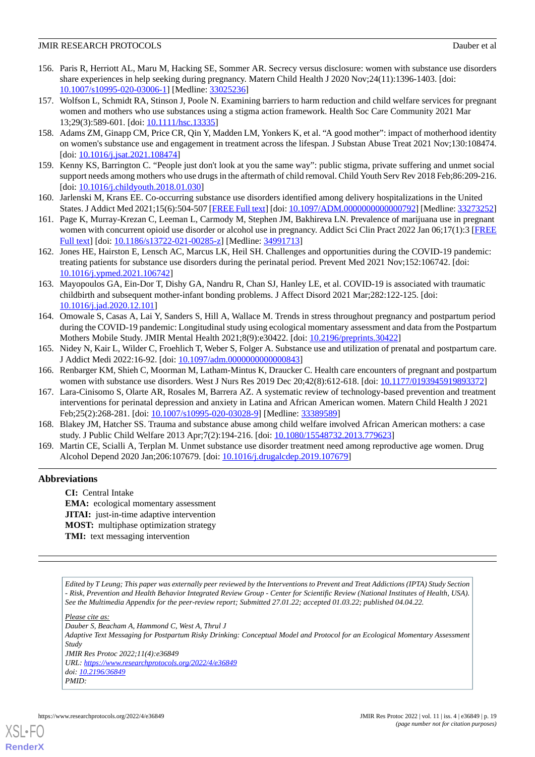- <span id="page-18-0"></span>156. Paris R, Herriott AL, Maru M, Hacking SE, Sommer AR. Secrecy versus disclosure: women with substance use disorders share experiences in help seeking during pregnancy. Matern Child Health J 2020 Nov;24(11):1396-1403. [doi: [10.1007/s10995-020-03006-1\]](http://dx.doi.org/10.1007/s10995-020-03006-1) [Medline: [33025236\]](http://www.ncbi.nlm.nih.gov/entrez/query.fcgi?cmd=Retrieve&db=PubMed&list_uids=33025236&dopt=Abstract)
- <span id="page-18-1"></span>157. Wolfson L, Schmidt RA, Stinson J, Poole N. Examining barriers to harm reduction and child welfare services for pregnant women and mothers who use substances using a stigma action framework. Health Soc Care Community 2021 Mar 13;29(3):589-601. [doi: [10.1111/hsc.13335\]](http://dx.doi.org/10.1111/hsc.13335)
- <span id="page-18-3"></span><span id="page-18-2"></span>158. Adams ZM, Ginapp CM, Price CR, Qin Y, Madden LM, Yonkers K, et al. "A good mother": impact of motherhood identity on women's substance use and engagement in treatment across the lifespan. J Substan Abuse Treat 2021 Nov;130:108474. [doi: [10.1016/j.jsat.2021.108474](http://dx.doi.org/10.1016/j.jsat.2021.108474)]
- <span id="page-18-4"></span>159. Kenny KS, Barrington C. "People just don't look at you the same way": public stigma, private suffering and unmet social support needs among mothers who use drugs in the aftermath of child removal. Child Youth Serv Rev 2018 Feb;86:209-216. [doi: [10.1016/j.childyouth.2018.01.030\]](http://dx.doi.org/10.1016/j.childyouth.2018.01.030)
- <span id="page-18-5"></span>160. Jarlenski M, Krans EE. Co-occurring substance use disorders identified among delivery hospitalizations in the United States. J Addict Med 2021;15(6):504-507 [\[FREE Full text](http://europepmc.org/abstract/MED/33273252)] [doi: 10.1097/ADM.000000000000000792] [Medline: [33273252](http://www.ncbi.nlm.nih.gov/entrez/query.fcgi?cmd=Retrieve&db=PubMed&list_uids=33273252&dopt=Abstract)]
- <span id="page-18-6"></span>161. Page K, Murray-Krezan C, Leeman L, Carmody M, Stephen JM, Bakhireva LN. Prevalence of marijuana use in pregnant women with concurrent opioid use disorder or alcohol use in pregnancy. Addict Sci Clin Pract 2022 Jan 06;17(1):3 [\[FREE](https://ascpjournal.biomedcentral.com/articles/10.1186/s13722-021-00285-z) [Full text\]](https://ascpjournal.biomedcentral.com/articles/10.1186/s13722-021-00285-z) [doi: [10.1186/s13722-021-00285-z\]](http://dx.doi.org/10.1186/s13722-021-00285-z) [Medline: [34991713\]](http://www.ncbi.nlm.nih.gov/entrez/query.fcgi?cmd=Retrieve&db=PubMed&list_uids=34991713&dopt=Abstract)
- <span id="page-18-7"></span>162. Jones HE, Hairston E, Lensch AC, Marcus LK, Heil SH. Challenges and opportunities during the COVID-19 pandemic: treating patients for substance use disorders during the perinatal period. Prevent Med 2021 Nov;152:106742. [doi: [10.1016/j.ypmed.2021.106742](http://dx.doi.org/10.1016/j.ypmed.2021.106742)]
- <span id="page-18-8"></span>163. Mayopoulos GA, Ein-Dor T, Dishy GA, Nandru R, Chan SJ, Hanley LE, et al. COVID-19 is associated with traumatic childbirth and subsequent mother-infant bonding problems. J Affect Disord 2021 Mar;282:122-125. [doi: [10.1016/j.jad.2020.12.101\]](http://dx.doi.org/10.1016/j.jad.2020.12.101)
- <span id="page-18-9"></span>164. Omowale S, Casas A, Lai Y, Sanders S, Hill A, Wallace M. Trends in stress throughout pregnancy and postpartum period during the COVID-19 pandemic: Longitudinal study using ecological momentary assessment and data from the Postpartum Mothers Mobile Study. JMIR Mental Health 2021;8(9):e30422. [doi: [10.2196/preprints.30422](http://dx.doi.org/10.2196/preprints.30422)]
- <span id="page-18-11"></span><span id="page-18-10"></span>165. Nidey N, Kair L, Wilder C, Froehlich T, Weber S, Folger A. Substance use and utilization of prenatal and postpartum care. J Addict Medi 2022:16-92. [doi: [10.1097/adm.0000000000000843\]](http://dx.doi.org/10.1097/adm.0000000000000843)
- 166. Renbarger KM, Shieh C, Moorman M, Latham-Mintus K, Draucker C. Health care encounters of pregnant and postpartum women with substance use disorders. West J Nurs Res 2019 Dec 20;42(8):612-618. [doi: [10.1177/0193945919893372\]](http://dx.doi.org/10.1177/0193945919893372)
- <span id="page-18-13"></span><span id="page-18-12"></span>167. Lara-Cinisomo S, Olarte AR, Rosales M, Barrera AZ. A systematic review of technology-based prevention and treatment interventions for perinatal depression and anxiety in Latina and African American women. Matern Child Health J 2021 Feb;25(2):268-281. [doi: [10.1007/s10995-020-03028-9\]](http://dx.doi.org/10.1007/s10995-020-03028-9) [Medline: [33389589](http://www.ncbi.nlm.nih.gov/entrez/query.fcgi?cmd=Retrieve&db=PubMed&list_uids=33389589&dopt=Abstract)]
- 168. Blakey JM, Hatcher SS. Trauma and substance abuse among child welfare involved African American mothers: a case study. J Public Child Welfare 2013 Apr;7(2):194-216. [doi: [10.1080/15548732.2013.779623\]](http://dx.doi.org/10.1080/15548732.2013.779623)
- 169. Martin CE, Scialli A, Terplan M. Unmet substance use disorder treatment need among reproductive age women. Drug Alcohol Depend 2020 Jan;206:107679. [doi: [10.1016/j.drugalcdep.2019.107679\]](http://dx.doi.org/10.1016/j.drugalcdep.2019.107679)

#### **Abbreviations**

**CI:** Central Intake **EMA:** ecological momentary assessment **JITAI:** just-in-time adaptive intervention **MOST:** multiphase optimization strategy **TMI:** text messaging intervention

*Edited by T Leung; This paper was externally peer reviewed by the Interventions to Prevent and Treat Addictions (IPTA) Study Section - Risk, Prevention and Health Behavior Integrated Review Group - Center for Scientific Review (National Institutes of Health, USA). See the Multimedia Appendix for the peer-review report; Submitted 27.01.22; accepted 01.03.22; published 04.04.22.*

*Please cite as:*

*Dauber S, Beacham A, Hammond C, West A, Thrul J Adaptive Text Messaging for Postpartum Risky Drinking: Conceptual Model and Protocol for an Ecological Momentary Assessment Study JMIR Res Protoc 2022;11(4):e36849 URL: <https://www.researchprotocols.org/2022/4/e36849> doi: [10.2196/36849](http://dx.doi.org/10.2196/36849) PMID:*